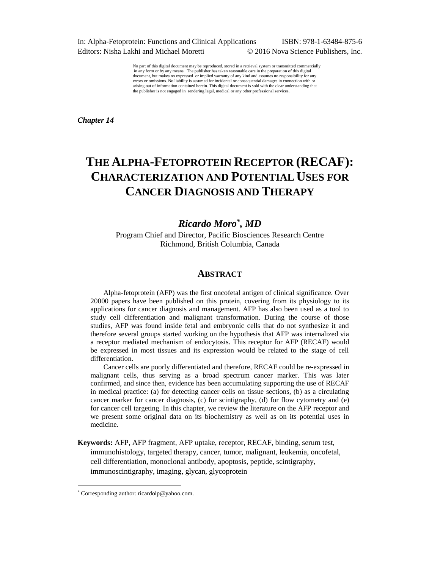In: Alpha-Fetoprotein: Functions and Clinical Applications ISBN: 978-1-63484-875-6 Editors: Nisha Lakhi and Michael Moretti © 2016 Nova Science Publishers, Inc.

No part of this digital document may be reproduced, stored in a retrieval system or transmitted commercially in any form or by any means. The publisher has taken reasonable care in the preparation of this digital document, but makes no expressed or implied warranty of any kind and assumes no responsibility for any errors or omissions. No liability is assumed for incidental or consequential damages in connection with or arising out of information contained herein. This digital document is sold with the clear understanding that the publisher is not engaged in rendering legal, medical or any other professional services.

*Chapter 14* 

# **THE ALPHA-FETOPROTEIN RECEPTOR (RECAF): CHARACTERIZATION AND POTENTIAL USES FOR CANCER DIAGNOSIS AND THERAPY**

# *Ricardo Moro\* , MD*

Program Chief and Director, Pacific Biosciences Research Centre Richmond, British Columbia, Canada

# **ABSTRACT**

Alpha-fetoprotein (AFP) was the first oncofetal antigen of clinical significance. Over 20000 papers have been published on this protein, covering from its physiology to its applications for cancer diagnosis and management. AFP has also been used as a tool to study cell differentiation and malignant transformation. During the course of those studies, AFP was found inside fetal and embryonic cells that do not synthesize it and therefore several groups started working on the hypothesis that AFP was internalized via a receptor mediated mechanism of endocytosis. This receptor for AFP (RECAF) would be expressed in most tissues and its expression would be related to the stage of cell differentiation.

Cancer cells are poorly differentiated and therefore, RECAF could be re-expressed in malignant cells, thus serving as a broad spectrum cancer marker. This was later confirmed, and since then, evidence has been accumulating supporting the use of RECAF in medical practice: (a) for detecting cancer cells on tissue sections, (b) as a circulating cancer marker for cancer diagnosis, (c) for scintigraphy, (d) for flow cytometry and (e) for cancer cell targeting. In this chapter, we review the literature on the AFP receptor and we present some original data on its biochemistry as well as on its potential uses in medicine.

**Keywords:** AFP, AFP fragment, AFP uptake, receptor, RECAF, binding, serum test, immunohistology, targeted therapy, cancer, tumor, malignant, leukemia, oncofetal, cell differentiation, monoclonal antibody, apoptosis, peptide, scintigraphy, immunoscintigraphy, imaging, glycan, glycoprotein

<sup>\*</sup> Corresponding author: ricardoip@yahoo.com.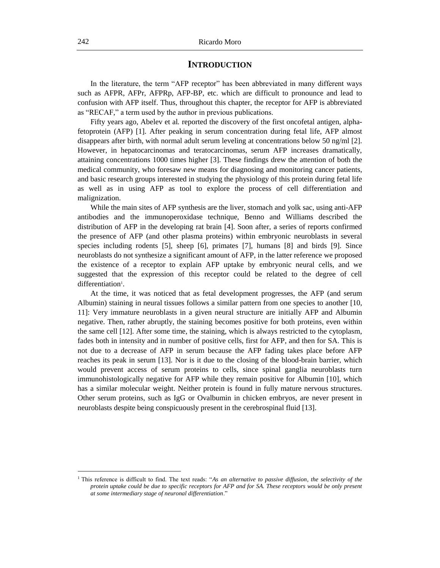## **INTRODUCTION**

In the literature, the term "AFP receptor" has been abbreviated in many different ways such as AFPR, AFPr, AFPRp, AFP-BP, etc. which are difficult to pronounce and lead to confusion with AFP itself. Thus, throughout this chapter, the receptor for AFP is abbreviated as "RECAF," a term used by the author in previous publications.

Fifty years ago, Abelev et al*.* reported the discovery of the first oncofetal antigen, alphafetoprotein (AFP) [1]. After peaking in serum concentration during fetal life, AFP almost disappears after birth, with normal adult serum leveling at concentrations below 50 ng/ml [2]. However, in hepatocarcinomas and teratocarcinomas, serum AFP increases dramatically, attaining concentrations 1000 times higher [3]. These findings drew the attention of both the medical community, who foresaw new means for diagnosing and monitoring cancer patients, and basic research groups interested in studying the physiology of this protein during fetal life as well as in using AFP as tool to explore the process of cell differentiation and malignization.

While the main sites of AFP synthesis are the liver, stomach and yolk sac, using anti-AFP antibodies and the immunoperoxidase technique, Benno and Williams described the distribution of AFP in the developing rat brain [4]. Soon after, a series of reports confirmed the presence of AFP (and other plasma proteins) within embryonic neuroblasts in several species including rodents [5], sheep [6], primates [7], humans [8] and birds [9]. Since neuroblasts do not synthesize a significant amount of AFP, in the latter reference we proposed the existence of a receptor to explain AFP uptake by embryonic neural cells, and we suggested that the expression of this receptor could be related to the degree of cell differentiation<sup>1</sup>.

At the time, it was noticed that as fetal development progresses, the AFP (and serum Albumin) staining in neural tissues follows a similar pattern from one species to another [10, 11]: Very immature neuroblasts in a given neural structure are initially AFP and Albumin negative. Then, rather abruptly, the staining becomes positive for both proteins, even within the same cell [12]. After some time, the staining, which is always restricted to the cytoplasm, fades both in intensity and in number of positive cells, first for AFP, and then for SA. This is not due to a decrease of AFP in serum because the AFP fading takes place before AFP reaches its peak in serum [13]. Nor is it due to the closing of the blood-brain barrier, which would prevent access of serum proteins to cells, since spinal ganglia neuroblasts turn immunohistologically negative for AFP while they remain positive for Albumin [10], which has a similar molecular weight. Neither protein is found in fully mature nervous structures. Other serum proteins, such as IgG or Ovalbumin in chicken embryos, are never present in neuroblasts despite being conspicuously present in the cerebrospinal fluid [13].

<sup>1</sup> This reference is difficult to find. The text reads: "*As an alternative to passive diffusion, the selectivity of the protein uptake could be due to specific receptors for AFP and for SA. These receptors would be only present at some intermediary stage of neuronal differentiation*."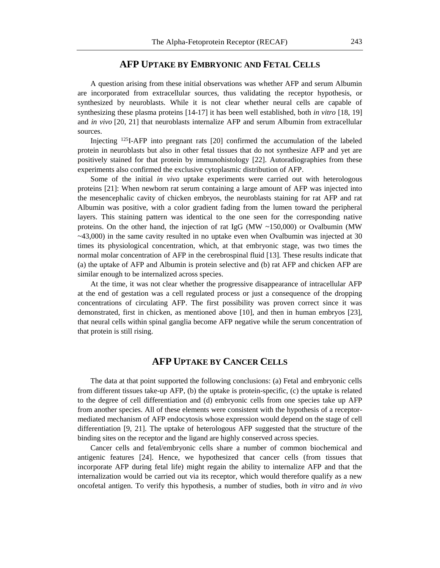# **AFP UPTAKE BY EMBRYONIC AND FETAL CELLS**

A question arising from these initial observations was whether AFP and serum Albumin are incorporated from extracellular sources, thus validating the receptor hypothesis, or synthesized by neuroblasts. While it is not clear whether neural cells are capable of synthesizing these plasma proteins [14-17] it has been well established, both *in vitro* [18, 19] and *in vivo* [20, 21] that neuroblasts internalize AFP and serum Albumin from extracellular sources.

Injecting <sup>125</sup>I-AFP into pregnant rats [20] confirmed the accumulation of the labeled protein in neuroblasts but also in other fetal tissues that do not synthesize AFP and yet are positively stained for that protein by immunohistology [22]. Autoradiographies from these experiments also confirmed the exclusive cytoplasmic distribution of AFP.

Some of the initial *in vivo* uptake experiments were carried out with heterologous proteins [21]: When newborn rat serum containing a large amount of AFP was injected into the mesencephalic cavity of chicken embryos, the neuroblasts staining for rat AFP and rat Albumin was positive, with a color gradient fading from the lumen toward the peripheral layers. This staining pattern was identical to the one seen for the corresponding native proteins. On the other hand, the injection of rat IgG ( $\text{MW} \sim 150,000$ ) or Ovalbumin ( $\text{MW}$ )  $\sim$ 43,000) in the same cavity resulted in no uptake even when Ovalbumin was injected at 30 times its physiological concentration, which, at that embryonic stage, was two times the normal molar concentration of AFP in the cerebrospinal fluid [13]. These results indicate that (a) the uptake of AFP and Albumin is protein selective and (b) rat AFP and chicken AFP are similar enough to be internalized across species.

At the time, it was not clear whether the progressive disappearance of intracellular AFP at the end of gestation was a cell regulated process or just a consequence of the dropping concentrations of circulating AFP. The first possibility was proven correct since it was demonstrated, first in chicken, as mentioned above [10], and then in human embryos [23], that neural cells within spinal ganglia become AFP negative while the serum concentration of that protein is still rising.

# **AFP UPTAKE BY CANCER CELLS**

The data at that point supported the following conclusions: (a) Fetal and embryonic cells from different tissues take-up AFP, (b) the uptake is protein-specific, (c) the uptake is related to the degree of cell differentiation and (d) embryonic cells from one species take up AFP from another species. All of these elements were consistent with the hypothesis of a receptormediated mechanism of AFP endocytosis whose expression would depend on the stage of cell differentiation [9, 21]. The uptake of heterologous AFP suggested that the structure of the binding sites on the receptor and the ligand are highly conserved across species.

Cancer cells and fetal/embryonic cells share a number of common biochemical and antigenic features [24]. Hence, we hypothesized that cancer cells (from tissues that incorporate AFP during fetal life) might regain the ability to internalize AFP and that the internalization would be carried out via its receptor, which would therefore qualify as a new oncofetal antigen. To verify this hypothesis, a number of studies, both *in vitro* and *in vivo*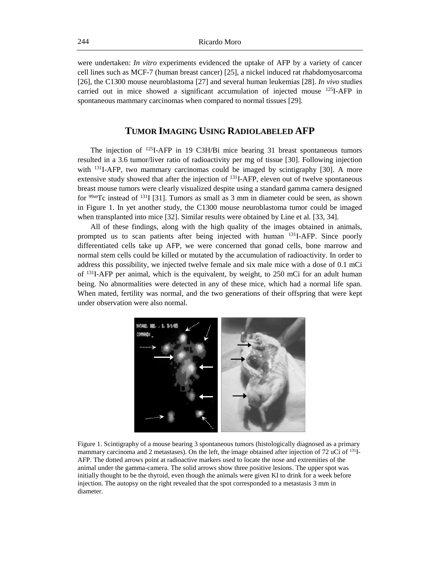were undertaken: *In vitro* experiments evidenced the uptake of AFP by a variety of cancer cell lines such as MCF-7 (human breast cancer) [25], a nickel induced rat rhabdomyosarcoma [26], the C1300 mouse neuroblastoma [27] and several human leukemias [28]. *In vivo* studies carried out in mice showed a significant accumulation of injected mouse <sup>125</sup>I-AFP in spontaneous mammary carcinomas when compared to normal tissues [29].

# **TUMOR IMAGING USING RADIOLABELED AFP**

The injection of <sup>125</sup>I-AFP in 19 C3H/Bi mice bearing 31 breast spontaneous tumors resulted in a 3.6 tumor/liver ratio of radioactivity per mg of tissue [30]. Following injection with <sup>131</sup>I-AFP, two mammary carcinomas could be imaged by scintigraphy [30]. A more extensive study showed that after the injection of <sup>131</sup>I-AFP, eleven out of twelve spontaneous breast mouse tumors were clearly visualized despite using a standard gamma camera designed for  $\frac{99 \text{m}}{2}$  instead of  $\frac{131}{1}$  [31]. Tumors as small as 3 mm in diameter could be seen, as shown in Figure 1. In yet another study, the C1300 mouse neuroblastoma tumor could be imaged when transplanted into mice [32]. Similar results were obtained by Line et al*.* [33, 34].

All of these findings, along with the high quality of the images obtained in animals, prompted us to scan patients after being injected with human <sup>131</sup>I-AFP. Since poorly differentiated cells take up AFP, we were concerned that gonad cells, bone marrow and normal stem cells could be killed or mutated by the accumulation of radioactivity. In order to address this possibility, we injected twelve female and six male mice with a dose of 0.1 mCi of <sup>131</sup>I-AFP per animal, which is the equivalent, by weight, to 250 mCi for an adult human being. No abnormalities were detected in any of these mice, which had a normal life span. When mated, fertility was normal, and the two generations of their offspring that were kept under observation were also normal.



Figure 1. Scintigraphy of a mouse bearing 3 spontaneous tumors (histologically diagnosed as a primary mammary carcinoma and 2 metastases). On the left, the image obtained after injection of 72 uCi of  $^{131}I$ -AFP. The dotted arrows point at radioactive markers used to locate the nose and extremities of the animal under the gamma-camera. The solid arrows show three positive lesions. The upper spot was initially thought to be the thyroid, even though the animals were given KI to drink for a week before injection. The autopsy on the right revealed that the spot corresponded to a metastasis 3 mm in diameter.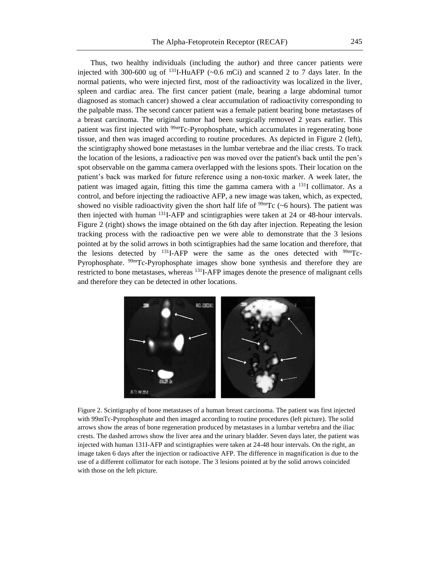Thus, two healthy individuals (including the author) and three cancer patients were injected with 300-600 ug of  $^{131}$ I-HuAFP (~0.6 mCi) and scanned 2 to 7 days later. In the normal patients, who were injected first, most of the radioactivity was localized in the liver, spleen and cardiac area. The first cancer patient (male, bearing a large abdominal tumor diagnosed as stomach cancer) showed a clear accumulation of radioactivity corresponding to the palpable mass. The second cancer patient was a female patient bearing bone metastases of a breast carcinoma. The original tumor had been surgically removed 2 years earlier. This patient was first injected with <sup>99m</sup>Tc-Pyrophosphate, which accumulates in regenerating bone tissue, and then was imaged according to routine procedures. As depicted in Figure 2 (left), the scintigraphy showed bone metastases in the lumbar vertebrae and the iliac crests. To track the location of the lesions, a radioactive pen was moved over the patient's back until the pen's spot observable on the gamma camera overlapped with the lesions spots. Their location on the patient's back was marked for future reference using a non-toxic marker. A week later, the patient was imaged again, fitting this time the gamma camera with a  $^{131}I$  collimator. As a control, and before injecting the radioactive AFP, a new image was taken, which, as expected, showed no visible radioactivity given the short half life of  $\frac{99 \text{m}}{\text{C}}$  (~6 hours). The patient was then injected with human <sup>131</sup>I-AFP and scintigraphies were taken at 24 or 48-hour intervals. Figure 2 (right) shows the image obtained on the 6th day after injection. Repeating the lesion tracking process with the radioactive pen we were able to demonstrate that the 3 lesions pointed at by the solid arrows in both scintigraphies had the same location and therefore, that the lesions detected by  $^{131}I$ -AFP were the same as the ones detected with  $^{99m}Tc$ -Pyrophosphate. 99mTc-Pyrophosphate images show bone synthesis and therefore they are restricted to bone metastases, whereas <sup>131</sup>I-AFP images denote the presence of malignant cells and therefore they can be detected in other locations.



Figure 2. Scintigraphy of bone metastases of a human breast carcinoma. The patient was first injected with 99mTc-Pyrophosphate and then imaged according to routine procedures (left picture). The solid arrows show the areas of bone regeneration produced by metastases in a lumbar vertebra and the iliac crests. The dashed arrows show the liver area and the urinary bladder. Seven days later, the patient was injected with human 131I-AFP and scintigraphies were taken at 24-48 hour intervals. On the right, an image taken 6 days after the injection or radioactive AFP. The difference in magnification is due to the use of a different collimator for each isotope. The 3 lesions pointed at by the solid arrows coincided with those on the left picture.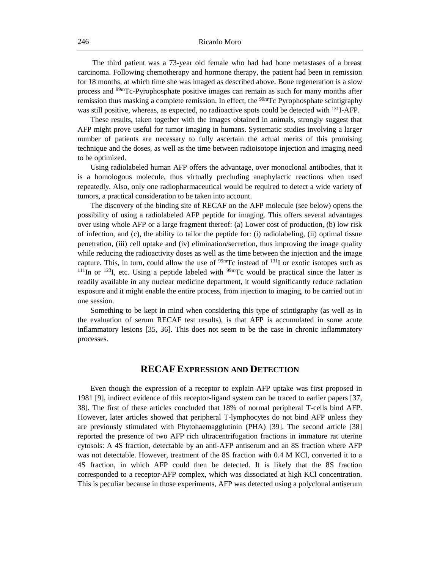The third patient was a 73-year old female who had had bone metastases of a breast carcinoma. Following chemotherapy and hormone therapy, the patient had been in remission for 18 months, at which time she was imaged as described above. Bone regeneration is a slow process and 99mTc-Pyrophosphate positive images can remain as such for many months after remission thus masking a complete remission. In effect, the <sup>99mT</sup>c Pyrophosphate scintigraphy was still positive, whereas, as expected, no radioactive spots could be detected with <sup>131</sup>I-AFP.

These results, taken together with the images obtained in animals, strongly suggest that AFP might prove useful for tumor imaging in humans. Systematic studies involving a larger number of patients are necessary to fully ascertain the actual merits of this promising technique and the doses, as well as the time between radioisotope injection and imaging need to be optimized.

Using radiolabeled human AFP offers the advantage, over monoclonal antibodies, that it is a homologous molecule, thus virtually precluding anaphylactic reactions when used repeatedly. Also, only one radiopharmaceutical would be required to detect a wide variety of tumors, a practical consideration to be taken into account.

The discovery of the binding site of RECAF on the AFP molecule (see below) opens the possibility of using a radiolabeled AFP peptide for imaging. This offers several advantages over using whole AFP or a large fragment thereof: (a) Lower cost of production, (b) low risk of infection, and (c), the ability to tailor the peptide for: (i) radiolabeling, (ii) optimal tissue penetration, (iii) cell uptake and (iv) elimination/secretion, thus improving the image quality while reducing the radioactivity doses as well as the time between the injection and the image capture. This, in turn, could allow the use of  $\frac{99 \text{ m}}{100 \text{ s}}$  of  $\frac{131 \text{ J}}{100 \text{ s}}$  or exotic isotopes such as  $111$ In or  $123$ I, etc. Using a peptide labeled with  $99m$ Tc would be practical since the latter is readily available in any nuclear medicine department, it would significantly reduce radiation exposure and it might enable the entire process, from injection to imaging, to be carried out in one session.

Something to be kept in mind when considering this type of scintigraphy (as well as in the evaluation of serum RECAF test results), is that AFP is accumulated in some acute inflammatory lesions [35, 36]. This does not seem to be the case in chronic inflammatory processes.

# **RECAF EXPRESSION AND DETECTION**

Even though the expression of a receptor to explain AFP uptake was first proposed in 1981 [9], indirect evidence of this receptor-ligand system can be traced to earlier papers [37, 38]. The first of these articles concluded that 18% of normal peripheral T-cells bind AFP. However, later articles showed that peripheral T-lymphocytes do not bind AFP unless they are previously stimulated with Phytohaemagglutinin (PHA) [39]. The second article [38] reported the presence of two AFP rich ultracentrifugation fractions in immature rat uterine cytosols: A 4S fraction, detectable by an anti-AFP antiserum and an 8S fraction where AFP was not detectable. However, treatment of the 8S fraction with 0.4 M KCl, converted it to a 4S fraction, in which AFP could then be detected. It is likely that the 8S fraction corresponded to a receptor-AFP complex, which was dissociated at high KCl concentration. This is peculiar because in those experiments, AFP was detected using a polyclonal antiserum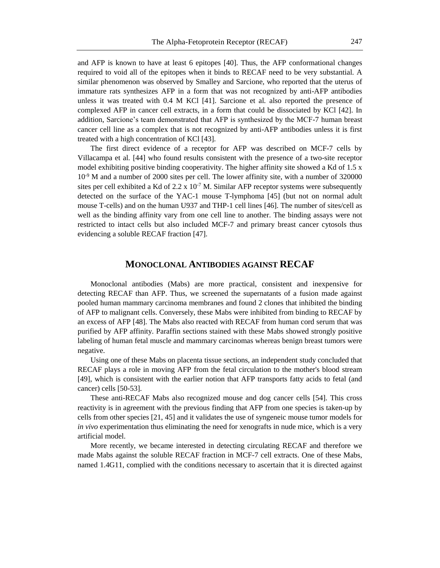and AFP is known to have at least 6 epitopes [40]. Thus, the AFP conformational changes required to void all of the epitopes when it binds to RECAF need to be very substantial. A similar phenomenon was observed by Smalley and Sarcione, who reported that the uterus of immature rats synthesizes AFP in a form that was not recognized by anti-AFP antibodies unless it was treated with 0.4 M KCl [41]. Sarcione et al*.* also reported the presence of complexed AFP in cancer cell extracts, in a form that could be dissociated by KCl [42]. In addition, Sarcione's team demonstrated that AFP is synthesized by the MCF-7 human breast cancer cell line as a complex that is not recognized by anti-AFP antibodies unless it is first treated with a high concentration of KCl [43].

The first direct evidence of a receptor for AFP was described on MCF-7 cells by Villacampa et al*.* [44] who found results consistent with the presence of a two-site receptor model exhibiting positive binding cooperativity. The higher affinity site showed a Kd of 1.5 x 10-9 M and a number of 2000 sites per cell. The lower affinity site, with a number of 320000 sites per cell exhibited a Kd of 2.2 x  $10^{-7}$  M. Similar AFP receptor systems were subsequently detected on the surface of the YAC-1 mouse T-lymphoma [45] (but not on normal adult mouse T-cells) and on the human U937 and THP-1 cell lines [46]. The number of sites/cell as well as the binding affinity vary from one cell line to another. The binding assays were not restricted to intact cells but also included MCF-7 and primary breast cancer cytosols thus evidencing a soluble RECAF fraction [47].

#### **MONOCLONAL ANTIBODIES AGAINST RECAF**

Monoclonal antibodies (Mabs) are more practical, consistent and inexpensive for detecting RECAF than AFP. Thus, we screened the supernatants of a fusion made against pooled human mammary carcinoma membranes and found 2 clones that inhibited the binding of AFP to malignant cells. Conversely, these Mabs were inhibited from binding to RECAF by an excess of AFP [48]. The Mabs also reacted with RECAF from human cord serum that was purified by AFP affinity. Paraffin sections stained with these Mabs showed strongly positive labeling of human fetal muscle and mammary carcinomas whereas benign breast tumors were negative.

Using one of these Mabs on placenta tissue sections, an independent study concluded that RECAF plays a role in moving AFP from the fetal circulation to the mother's blood stream [49], which is consistent with the earlier notion that AFP transports fatty acids to fetal (and cancer) cells [50-53].

These anti-RECAF Mabs also recognized mouse and dog cancer cells [54]. This cross reactivity is in agreement with the previous finding that AFP from one species is taken-up by cells from other species [21, 45] and it validates the use of syngeneic mouse tumor models for *in vivo* experimentation thus eliminating the need for xenografts in nude mice, which is a very artificial model.

More recently, we became interested in detecting circulating RECAF and therefore we made Mabs against the soluble RECAF fraction in MCF-7 cell extracts. One of these Mabs, named 1.4G11, complied with the conditions necessary to ascertain that it is directed against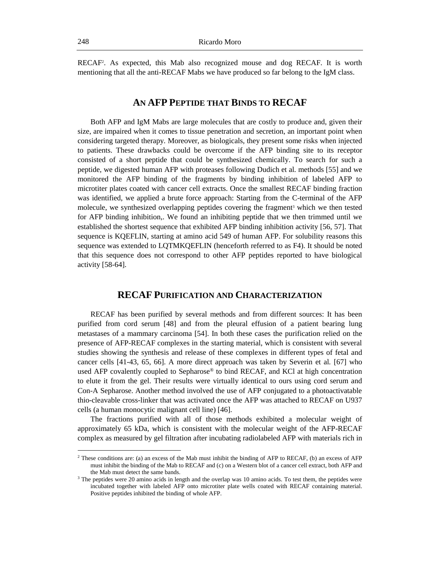RECAF<sup>2</sup> . As expected, this Mab also recognized mouse and dog RECAF. It is worth mentioning that all the anti-RECAF Mabs we have produced so far belong to the IgM class.

# **AN AFP PEPTIDE THAT BINDS TO RECAF**

Both AFP and IgM Mabs are large molecules that are costly to produce and, given their size, are impaired when it comes to tissue penetration and secretion, an important point when considering targeted therapy. Moreover, as biologicals, they present some risks when injected to patients. These drawbacks could be overcome if the AFP binding site to its receptor consisted of a short peptide that could be synthesized chemically. To search for such a peptide, we digested human AFP with proteases following Dudich et al*.* methods [55] and we monitored the AFP binding of the fragments by binding inhibition of labeled AFP to microtiter plates coated with cancer cell extracts. Once the smallest RECAF binding fraction was identified, we applied a brute force approach: Starting from the C-terminal of the AFP molecule, we synthesized overlapping peptides covering the fragment<sup>3</sup> which we then tested for AFP binding inhibition,. We found an inhibiting peptide that we then trimmed until we established the shortest sequence that exhibited AFP binding inhibition activity [56, 57]. That sequence is KQEFLIN, starting at amino acid 549 of human AFP. For solubility reasons this sequence was extended to LQTMKQEFLIN (henceforth referred to as F4). It should be noted that this sequence does not correspond to other AFP peptides reported to have biological activity [58-64].

# **RECAF PURIFICATION AND CHARACTERIZATION**

RECAF has been purified by several methods and from different sources: It has been purified from cord serum [48] and from the pleural effusion of a patient bearing lung metastases of a mammary carcinoma [54]. In both these cases the purification relied on the presence of AFP-RECAF complexes in the starting material, which is consistent with several studies showing the synthesis and release of these complexes in different types of fetal and cancer cells [41-43, 65, 66]. A more direct approach was taken by Severin et al*.* [67] who used AFP covalently coupled to Sepharose® to bind RECAF, and KCl at high concentration to elute it from the gel. Their results were virtually identical to ours using cord serum and Con-A Sepharose. Another method involved the use of AFP conjugated to a photoactivatable thio-cleavable cross-linker that was activated once the AFP was attached to RECAF on U937 cells (a human monocytic malignant cell line) [46].

The fractions purified with all of those methods exhibited a molecular weight of approximately 65 kDa, which is consistent with the molecular weight of the AFP-RECAF complex as measured by gel filtration after incubating radiolabeled AFP with materials rich in

<sup>2</sup> These conditions are: (a) an excess of the Mab must inhibit the binding of AFP to RECAF, (b) an excess of AFP must inhibit the binding of the Mab to RECAF and (c) on a Western blot of a cancer cell extract, both AFP and the Mab must detect the same bands.

 $3$  The peptides were 20 amino acids in length and the overlap was 10 amino acids. To test them, the peptides were incubated together with labeled AFP onto microtiter plate wells coated with RECAF containing material. Positive peptides inhibited the binding of whole AFP.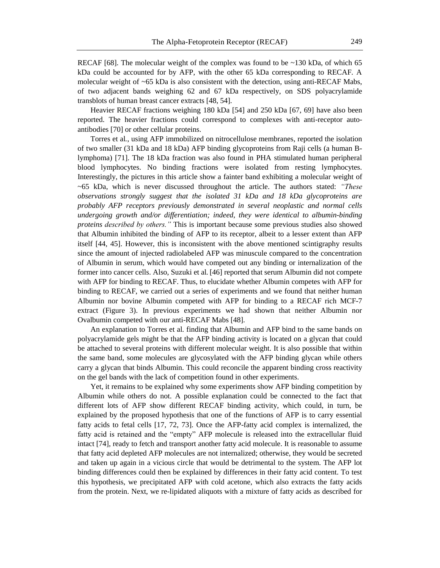RECAF [68]. The molecular weight of the complex was found to be  $\sim$ 130 kDa, of which 65 kDa could be accounted for by AFP, with the other 65 kDa corresponding to RECAF. A molecular weight of ~65 kDa is also consistent with the detection, using anti-RECAF Mabs, of two adjacent bands weighing 62 and 67 kDa respectively, on SDS polyacrylamide transblots of human breast cancer extracts [48, 54].

Heavier RECAF fractions weighing 180 kDa [54] and 250 kDa [67, 69] have also been reported. The heavier fractions could correspond to complexes with anti-receptor autoantibodies [70] or other cellular proteins.

Torres et al*.*, using AFP immobilized on nitrocellulose membranes, reported the isolation of two smaller (31 kDa and 18 kDa) AFP binding glycoproteins from Raji cells (a human Blymphoma) [71]. The 18 kDa fraction was also found in PHA stimulated human peripheral blood lymphocytes. No binding fractions were isolated from resting lymphocytes. Interestingly, the pictures in this article show a fainter band exhibiting a molecular weight of ~65 kDa, which is never discussed throughout the article. The authors stated: *"These observations strongly suggest that the isolated 31 kDa and 18 kDa glycoproteins are probably AFP receptors previously demonstrated in several neoplastic and normal cells undergoing growth and/or differentiation; indeed*, *they were identical to albumin-binding proteins described by others."* This is important because some previous studies also showed that Albumin inhibited the binding of AFP to its receptor, albeit to a lesser extent than AFP itself [44, 45]. However, this is inconsistent with the above mentioned scintigraphy results since the amount of injected radiolabeled AFP was minuscule compared to the concentration of Albumin in serum, which would have competed out any binding or internalization of the former into cancer cells. Also, Suzuki et al*.* [46] reported that serum Albumin did not compete with AFP for binding to RECAF. Thus, to elucidate whether Albumin competes with AFP for binding to RECAF, we carried out a series of experiments and we found that neither human Albumin nor bovine Albumin competed with AFP for binding to a RECAF rich MCF-7 extract (Figure 3). In previous experiments we had shown that neither Albumin nor Ovalbumin competed with our anti-RECAF Mabs [48].

An explanation to Torres et al*.* finding that Albumin and AFP bind to the same bands on polyacrylamide gels might be that the AFP binding activity is located on a glycan that could be attached to several proteins with different molecular weight. It is also possible that within the same band, some molecules are glycosylated with the AFP binding glycan while others carry a glycan that binds Albumin. This could reconcile the apparent binding cross reactivity on the gel bands with the lack of competition found in other experiments.

Yet, it remains to be explained why some experiments show AFP binding competition by Albumin while others do not. A possible explanation could be connected to the fact that different lots of AFP show different RECAF binding activity, which could, in turn, be explained by the proposed hypothesis that one of the functions of AFP is to carry essential fatty acids to fetal cells [17, 72, 73]. Once the AFP-fatty acid complex is internalized, the fatty acid is retained and the "empty" AFP molecule is released into the extracellular fluid intact [74], ready to fetch and transport another fatty acid molecule. It is reasonable to assume that fatty acid depleted AFP molecules are not internalized; otherwise, they would be secreted and taken up again in a vicious circle that would be detrimental to the system. The AFP lot binding differences could then be explained by differences in their fatty acid content. To test this hypothesis, we precipitated AFP with cold acetone, which also extracts the fatty acids from the protein. Next, we re-lipidated aliquots with a mixture of fatty acids as described for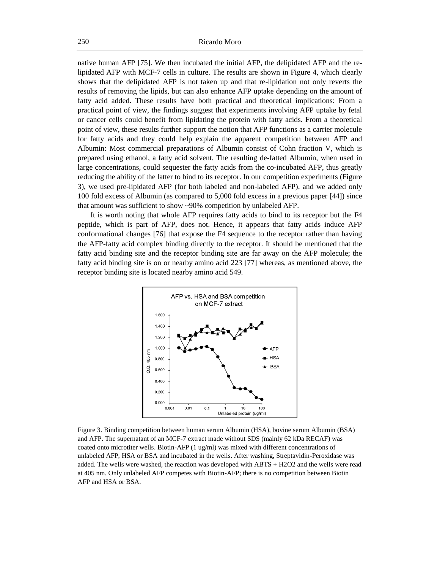native human AFP [75]. We then incubated the initial AFP, the delipidated AFP and the relipidated AFP with MCF-7 cells in culture. The results are shown in [Figure 4,](#page-10-0) which clearly shows that the delipidated AFP is not taken up and that re-lipidation not only reverts the results of removing the lipids, but can also enhance AFP uptake depending on the amount of fatty acid added. These results have both practical and theoretical implications: From a practical point of view, the findings suggest that experiments involving AFP uptake by fetal or cancer cells could benefit from lipidating the protein with fatty acids. From a theoretical point of view, these results further support the notion that AFP functions as a carrier molecule for fatty acids and they could help explain the apparent competition between AFP and Albumin: Most commercial preparations of Albumin consist of Cohn fraction V, which is prepared using ethanol, a fatty acid solvent. The resulting de-fatted Albumin, when used in large concentrations, could sequester the fatty acids from the co-incubated AFP, thus greatly reducing the ability of the latter to bind to its receptor. In our competition experiments [\(Figure](#page-9-0)  [3\)](#page-9-0), we used pre-lipidated AFP (for both labeled and non-labeled AFP), and we added only 100 fold excess of Albumin (as compared to 5,000 fold excess in a previous paper [44]) since that amount was sufficient to show ~90% competition by unlabeled AFP.

It is worth noting that whole AFP requires fatty acids to bind to its receptor but the F4 peptide, which is part of AFP, does not. Hence, it appears that fatty acids induce AFP conformational changes [76] that expose the F4 sequence to the receptor rather than having the AFP-fatty acid complex binding directly to the receptor. It should be mentioned that the fatty acid binding site and the receptor binding site are far away on the AFP molecule; the fatty acid binding site is on or nearby amino acid 223 [77] whereas, as mentioned above, the receptor binding site is located nearby amino acid 549.



<span id="page-9-0"></span>Figure 3. Binding competition between human serum Albumin (HSA), bovine serum Albumin (BSA) and AFP. The supernatant of an MCF-7 extract made without SDS (mainly 62 kDa RECAF) was coated onto microtiter wells. Biotin-AFP (1 ug/ml) was mixed with different concentrations of unlabeled AFP, HSA or BSA and incubated in the wells. After washing, Streptavidin-Peroxidase was added. The wells were washed, the reaction was developed with ABTS + H2O2 and the wells were read at 405 nm. Only unlabeled AFP competes with Biotin-AFP; there is no competition between Biotin AFP and HSA or BSA.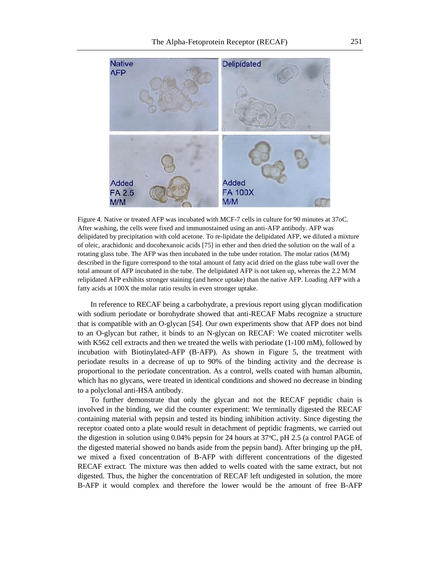

<span id="page-10-0"></span>Figure 4. Native or treated AFP was incubated with MCF-7 cells in culture for 90 minutes at 37oC. After washing, the cells were fixed and immunostained using an anti-AFP antibody. AFP was delipidated by precipitation with cold acetone. To re-lipidate the delipidated AFP, we diluted a mixture of oleic, arachidonic and docohexanoic acids [75] in ether and then dried the solution on the wall of a rotating glass tube. The AFP was then incubated in the tube under rotation. The molar ratios (M/M) described in the figure correspond to the total amount of fatty acid dried on the glass tube wall over the total amount of AFP incubated in the tube. The delipidated AFP is not taken up, whereas the 2.2 M/M relipidated AFP exhibits stronger staining (and hence uptake) than the native AFP. Loading AFP with a fatty acids at 100X the molar ratio results in even stronger uptake.

In reference to RECAF being a carbohydrate, a previous report using glycan modification with sodium periodate or borohydrate showed that anti-RECAF Mabs recognize a structure that is compatible with an O-glycan [54]. Our own experiments show that AFP does not bind to an O-glycan but rather, it binds to an N-glycan on RECAF: We coated microtiter wells with K562 cell extracts and then we treated the wells with periodate (1-100 mM), followed by incubation with Biotinylated-AFP (B-AFP). As shown in [Figure 5,](#page-11-0) the treatment with periodate results in a decrease of up to 90% of the binding activity and the decrease is proportional to the periodate concentration. As a control, wells coated with human albumin, which has no glycans, were treated in identical conditions and showed no decrease in binding to a polyclonal anti-HSA antibody.

To further demonstrate that only the glycan and not the RECAF peptidic chain is involved in the binding, we did the counter experiment: We terminally digested the RECAF containing material with pepsin and tested its binding inhibition activity. Since digesting the receptor coated onto a plate would result in detachment of peptidic fragments, we carried out the digestion in solution using  $0.04\%$  pepsin for 24 hours at 37 $\degree$ C, pH 2.5 (a control PAGE of the digested material showed no bands aside from the pepsin band). After bringing up the pH, we mixed a fixed concentration of B-AFP with different concentrations of the digested RECAF extract. The mixture was then added to wells coated with the same extract, but not digested. Thus, the higher the concentration of RECAF left undigested in solution, the more B-AFP it would complex and therefore the lower would be the amount of free B-AFP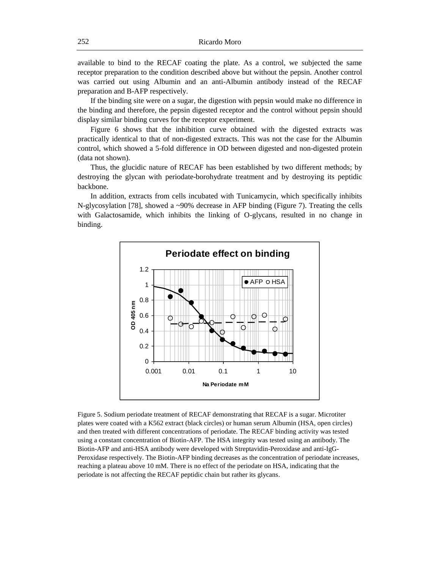available to bind to the RECAF coating the plate. As a control, we subjected the same receptor preparation to the condition described above but without the pepsin. Another control was carried out using Albumin and an anti-Albumin antibody instead of the RECAF preparation and B-AFP respectively.

If the binding site were on a sugar, the digestion with pepsin would make no difference in the binding and therefore, the pepsin digested receptor and the control without pepsin should display similar binding curves for the receptor experiment.

Figure 6 shows that the inhibition curve obtained with the digested extracts was practically identical to that of non-digested extracts. This was not the case for the Albumin control, which showed a 5-fold difference in OD between digested and non-digested protein (data not shown).

Thus, the glucidic nature of RECAF has been established by two different methods; by destroying the glycan with periodate-borohydrate treatment and by destroying its peptidic backbone.

In addition, extracts from cells incubated with Tunicamycin, which specifically inhibits N-glycosylation [78], showed a  $\sim$ 90% decrease in AFP binding (Figure 7). Treating the cells with Galactosamide, which inhibits the linking of O-glycans, resulted in no change in binding.



<span id="page-11-0"></span>Figure 5. Sodium periodate treatment of RECAF demonstrating that RECAF is a sugar. Microtiter plates were coated with a K562 extract (black circles) or human serum Albumin (HSA, open circles) and then treated with different concentrations of periodate. The RECAF binding activity was tested using a constant concentration of Biotin-AFP. The HSA integrity was tested using an antibody. The Biotin-AFP and anti-HSA antibody were developed with Streptavidin-Peroxidase and anti-IgG-Peroxidase respectively. The Biotin-AFP binding decreases as the concentration of periodate increases, reaching a plateau above 10 mM. There is no effect of the periodate on HSA, indicating that the periodate is not affecting the RECAF peptidic chain but rather its glycans.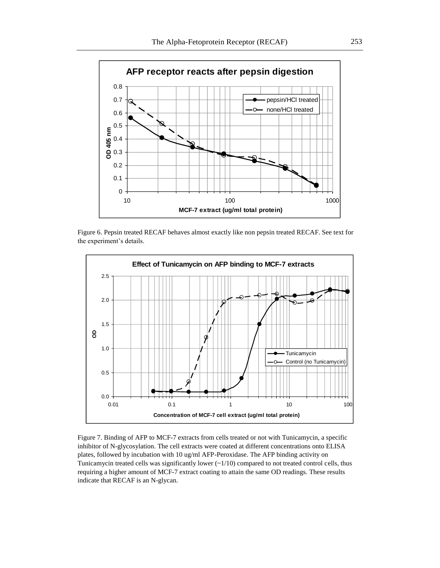

Figure 6. Pepsin treated RECAF behaves almost exactly like non pepsin treated RECAF. See text for the experiment's details.



Figure 7. Binding of AFP to MCF-7 extracts from cells treated or not with Tunicamycin, a specific inhibitor of N-glycosylation. The cell extracts were coated at different concentrations onto ELISA plates, followed by incubation with 10 ug/ml AFP-Peroxidase. The AFP binding activity on Tunicamycin treated cells was significantly lower  $(-1/10)$  compared to not treated control cells, thus requiring a higher amount of MCF-7 extract coating to attain the same OD readings. These results indicate that RECAF is an N-glycan.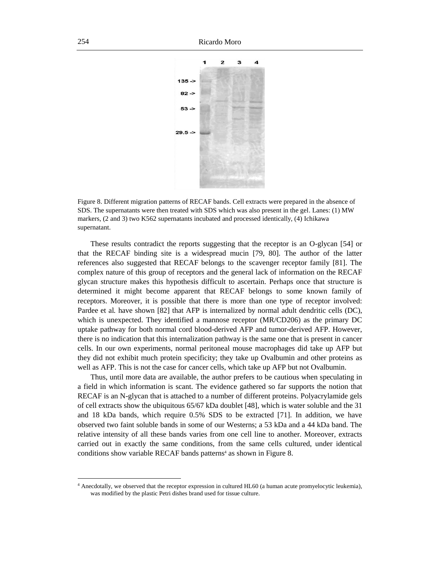

Figure 8. Different migration patterns of RECAF bands. Cell extracts were prepared in the absence of SDS. The supernatants were then treated with SDS which was also present in the gel. Lanes: (1) MW markers, (2 and 3) two K562 supernatants incubated and processed identically, (4) Ichikawa supernatant.

These results contradict the reports suggesting that the receptor is an O-glycan [54] or that the RECAF binding site is a widespread mucin [79, 80]. The author of the latter references also suggested that RECAF belongs to the scavenger receptor family [81]. The complex nature of this group of receptors and the general lack of information on the RECAF glycan structure makes this hypothesis difficult to ascertain. Perhaps once that structure is determined it might become apparent that RECAF belongs to some known family of receptors. Moreover, it is possible that there is more than one type of receptor involved: Pardee et al. have shown [82] that AFP is internalized by normal adult dendritic cells (DC), which is unexpected. They identified a mannose receptor (MR/CD206) as the primary DC uptake pathway for both normal cord blood-derived AFP and tumor-derived AFP. However, there is no indication that this internalization pathway is the same one that is present in cancer cells. In our own experiments, normal peritoneal mouse macrophages did take up AFP but they did not exhibit much protein specificity; they take up Ovalbumin and other proteins as well as AFP. This is not the case for cancer cells, which take up AFP but not Ovalbumin.

Thus, until more data are available, the author prefers to be cautious when speculating in a field in which information is scant. The evidence gathered so far supports the notion that RECAF is an N-glycan that is attached to a number of different proteins. Polyacrylamide gels of cell extracts show the ubiquitous 65/67 kDa doublet [48], which is water soluble and the 31 and 18 kDa bands, which require 0.5% SDS to be extracted [71]. In addition, we have observed two faint soluble bands in some of our Westerns; a 53 kDa and a 44 kDa band. The relative intensity of all these bands varies from one cell line to another. Moreover, extracts carried out in exactly the same conditions, from the same cells cultured, under identical conditions show variable RECAF bands patterns<sup>4</sup> as shown in Figure 8.

<sup>4</sup> Anecdotally, we observed that the receptor expression in cultured HL60 (a human acute promyelocytic leukemia), was modified by the plastic Petri dishes brand used for tissue culture.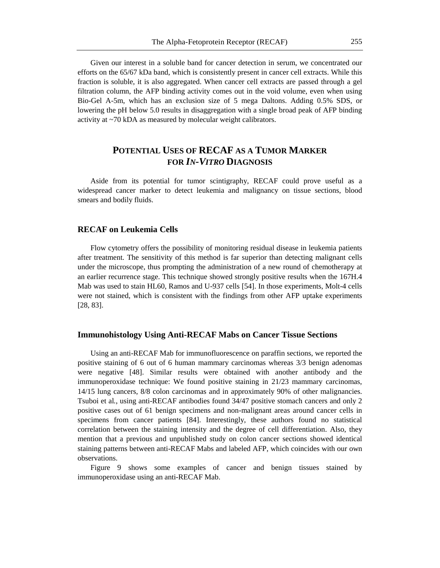Given our interest in a soluble band for cancer detection in serum, we concentrated our efforts on the 65/67 kDa band, which is consistently present in cancer cell extracts. While this fraction is soluble, it is also aggregated. When cancer cell extracts are passed through a gel filtration column, the AFP binding activity comes out in the void volume, even when using Bio-Gel A-5m, which has an exclusion size of 5 mega Daltons. Adding 0.5% SDS, or lowering the pH below 5.0 results in disaggregation with a single broad peak of AFP binding activity at ~70 kDA as measured by molecular weight calibrators.

# **POTENTIAL USES OF RECAF AS A TUMOR MARKER FOR** *IN-VITRO* **DIAGNOSIS**

Aside from its potential for tumor scintigraphy, RECAF could prove useful as a widespread cancer marker to detect leukemia and malignancy on tissue sections, blood smears and bodily fluids.

### **RECAF on Leukemia Cells**

Flow cytometry offers the possibility of monitoring residual disease in leukemia patients after treatment. The sensitivity of this method is far superior than detecting malignant cells under the microscope, thus prompting the administration of a new round of chemotherapy at an earlier recurrence stage. This technique showed strongly positive results when the 167H.4 Mab was used to stain HL60, Ramos and U-937 cells [54]. In those experiments, Molt-4 cells were not stained, which is consistent with the findings from other AFP uptake experiments [28, 83].

#### **Immunohistology Using Anti-RECAF Mabs on Cancer Tissue Sections**

Using an anti-RECAF Mab for immunofluorescence on paraffin sections, we reported the positive staining of 6 out of 6 human mammary carcinomas whereas 3/3 benign adenomas were negative [48]. Similar results were obtained with another antibody and the immunoperoxidase technique: We found positive staining in 21/23 mammary carcinomas, 14/15 lung cancers, 8/8 colon carcinomas and in approximately 90% of other malignancies. Tsuboi et al*.*, using anti-RECAF antibodies found 34/47 positive stomach cancers and only 2 positive cases out of 61 benign specimens and non-malignant areas around cancer cells in specimens from cancer patients [84]. Interestingly, these authors found no statistical correlation between the staining intensity and the degree of cell differentiation. Also, they mention that a previous and unpublished study on colon cancer sections showed identical staining patterns between anti-RECAF Mabs and labeled AFP, which coincides with our own observations.

Figure 9 shows some examples of cancer and benign tissues stained by immunoperoxidase using an anti-RECAF Mab.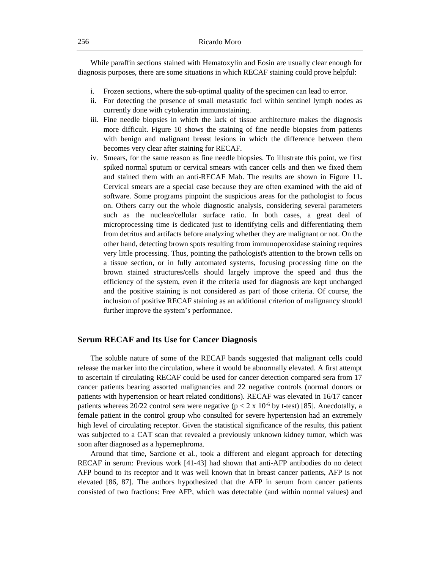While paraffin sections stained with Hematoxylin and Eosin are usually clear enough for diagnosis purposes, there are some situations in which RECAF staining could prove helpful:

- i. Frozen sections, where the sub-optimal quality of the specimen can lead to error.
- ii. For detecting the presence of small metastatic foci within sentinel lymph nodes as currently done with cytokeratin immunostaining.
- iii. Fine needle biopsies in which the lack of tissue architecture makes the diagnosis more difficult. Figure 10 shows the staining of fine needle biopsies from patients with benign and malignant breast lesions in which the difference between them becomes very clear after staining for RECAF.
- iv. Smears, for the same reason as fine needle biopsies. To illustrate this point, we first spiked normal sputum or cervical smears with cancer cells and then we fixed them and stained them with an anti-RECAF Mab. The results are shown in Figure 11**.**  Cervical smears are a special case because they are often examined with the aid of software. Some programs pinpoint the suspicious areas for the pathologist to focus on. Others carry out the whole diagnostic analysis, considering several parameters such as the nuclear/cellular surface ratio. In both cases, a great deal of microprocessing time is dedicated just to identifying cells and differentiating them from detritus and artifacts before analyzing whether they are malignant or not. On the other hand, detecting brown spots resulting from immunoperoxidase staining requires very little processing. Thus, pointing the pathologist's attention to the brown cells on a tissue section, or in fully automated systems, focusing processing time on the brown stained structures/cells should largely improve the speed and thus the efficiency of the system, even if the criteria used for diagnosis are kept unchanged and the positive staining is not considered as part of those criteria. Of course, the inclusion of positive RECAF staining as an additional criterion of malignancy should further improve the system's performance.

## **Serum RECAF and Its Use for Cancer Diagnosis**

The soluble nature of some of the RECAF bands suggested that malignant cells could release the marker into the circulation, where it would be abnormally elevated. A first attempt to ascertain if circulating RECAF could be used for cancer detection compared sera from 17 cancer patients bearing assorted malignancies and 22 negative controls (normal donors or patients with hypertension or heart related conditions). RECAF was elevated in 16/17 cancer patients whereas 20/22 control sera were negative ( $p < 2 \times 10^{-6}$  by t-test) [85]. Anecdotally, a female patient in the control group who consulted for severe hypertension had an extremely high level of circulating receptor. Given the statistical significance of the results, this patient was subjected to a CAT scan that revealed a previously unknown kidney tumor, which was soon after diagnosed as a hypernephroma.

Around that time, Sarcione et al*.*, took a different and elegant approach for detecting RECAF in serum: Previous work [41-43] had shown that anti-AFP antibodies do no detect AFP bound to its receptor and it was well known that in breast cancer patients, AFP is not elevated [86, 87]. The authors hypothesized that the AFP in serum from cancer patients consisted of two fractions: Free AFP, which was detectable (and within normal values) and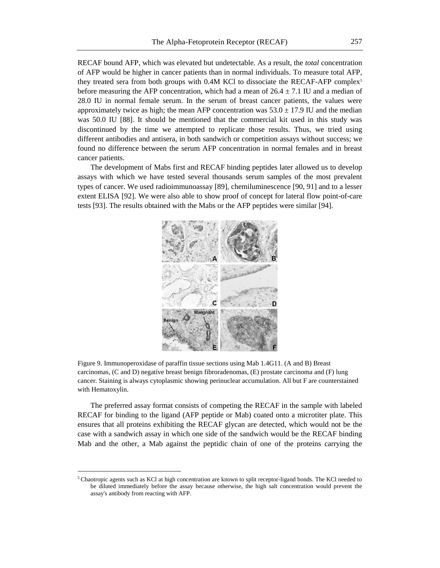RECAF bound AFP, which was elevated but undetectable. As a result, the *total* concentration of AFP would be higher in cancer patients than in normal individuals. To measure total AFP, they treated sera from both groups with 0.4M KCl to dissociate the RECAF-AFP complex<sup>5</sup> before measuring the AFP concentration, which had a mean of  $26.4 \pm 7.1$  IU and a median of 28.0 IU in normal female serum. In the serum of breast cancer patients, the values were approximately twice as high; the mean AFP concentration was  $53.0 \pm 17.9$  IU and the median was 50.0 IU [88]. It should be mentioned that the commercial kit used in this study was discontinued by the time we attempted to replicate those results. Thus, we tried using different antibodies and antisera, in both sandwich or competition assays without success; we found no difference between the serum AFP concentration in normal females and in breast cancer patients.

The development of Mabs first and RECAF binding peptides later allowed us to develop assays with which we have tested several thousands serum samples of the most prevalent types of cancer. We used radioimmunoassay [89], chemiluminescence [90, 91] and to a lesser extent ELISA [92]. We were also able to show proof of concept for lateral flow point-of-care tests [93]. The results obtained with the Mabs or the AFP peptides were similar [94].



Figure 9. Immunoperoxidase of paraffin tissue sections using Mab 1.4G11. (A and B) Breast carcinomas, (C and D) negative breast benign fibroradenomas, (E) prostate carcinoma and (F) lung cancer. Staining is always cytoplasmic showing perinuclear accumulation. All but F are counterstained with Hematoxylin.

The preferred assay format consists of competing the RECAF in the sample with labeled RECAF for binding to the ligand (AFP peptide or Mab) coated onto a microtiter plate. This ensures that all proteins exhibiting the RECAF glycan are detected, which would not be the case with a sandwich assay in which one side of the sandwich would be the RECAF binding Mab and the other, a Mab against the peptidic chain of one of the proteins carrying the

<sup>&</sup>lt;sup>5</sup> Chaotropic agents such as KCl at high concentration are known to split receptor-ligand bonds. The KCl needed to be diluted immediately before the assay because otherwise, the high salt concentration would prevent the assay's antibody from reacting with AFP.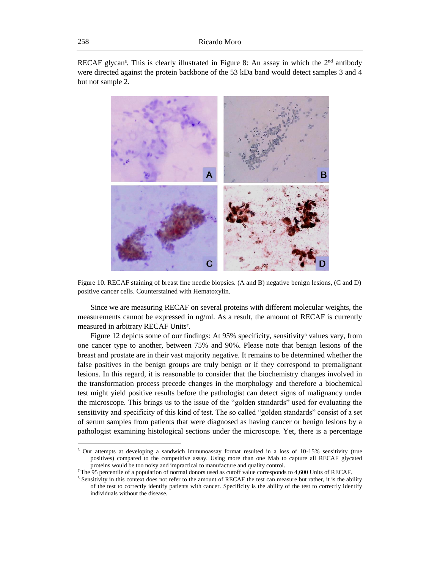RECAF glycan<sup>6</sup>. This is clearly illustrated in Figure 8: An assay in which the  $2<sup>nd</sup>$  antibody were directed against the protein backbone of the 53 kDa band would detect samples 3 and 4 but not sample 2.





Since we are measuring RECAF on several proteins with different molecular weights, the measurements cannot be expressed in ng/ml. As a result, the amount of RECAF is currently measured in arbitrary RECAF Units<sup>7</sup>.

Figure 12 depicts some of our findings: At 95% specificity, sensitivity<sup>8</sup> values vary, from one cancer type to another, between 75% and 90%. Please note that benign lesions of the breast and prostate are in their vast majority negative. It remains to be determined whether the false positives in the benign groups are truly benign or if they correspond to premalignant lesions. In this regard, it is reasonable to consider that the biochemistry changes involved in the transformation process precede changes in the morphology and therefore a biochemical test might yield positive results before the pathologist can detect signs of malignancy under the microscope. This brings us to the issue of the "golden standards" used for evaluating the sensitivity and specificity of this kind of test. The so called "golden standards" consist of a set of serum samples from patients that were diagnosed as having cancer or benign lesions by a pathologist examining histological sections under the microscope. Yet, there is a percentage

<sup>6</sup> Our attempts at developing a sandwich immunoassay format resulted in a loss of 10-15% sensitivity (true positives) compared to the competitive assay. Using more than one Mab to capture all RECAF glycated proteins would be too noisy and impractical to manufacture and quality control.

<sup>7</sup> The 95 percentile of a population of normal donors used as cutoff value corresponds to 4,600 Units of RECAF.

<sup>&</sup>lt;sup>8</sup> Sensitivity in this context does not refer to the amount of RECAF the test can measure but rather, it is the ability of the test to correctly identify patients with cancer. Specificity is the ability of the test to correctly identify individuals without the disease.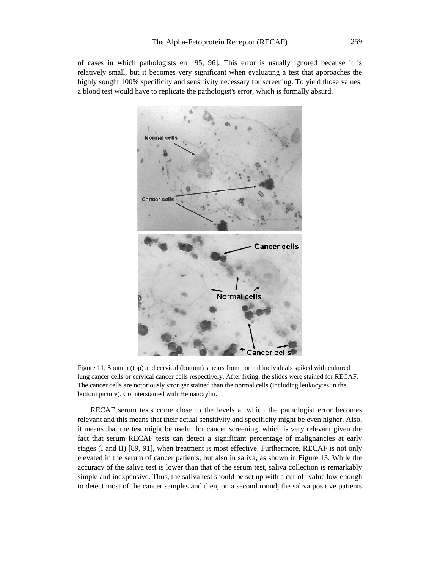of cases in which pathologists err [95, 96]. This error is usually ignored because it is relatively small, but it becomes very significant when evaluating a test that approaches the highly sought 100% specificity and sensitivity necessary for screening. To yield those values, a blood test would have to replicate the pathologist's error, which is formally absurd.



Figure 11. Sputum (top) and cervical (bottom) smears from normal individuals spiked with cultured lung cancer cells or cervical cancer cells respectively. After fixing, the slides were stained for RECAF. The cancer cells are notoriously stronger stained than the normal cells (including leukocytes in the bottom picture). Counterstained with Hematoxylin.

RECAF serum tests come close to the levels at which the pathologist error becomes relevant and this means that their actual sensitivity and specificity might be even higher. Also, it means that the test might be useful for cancer screening, which is very relevant given the fact that serum RECAF tests can detect a significant percentage of malignancies at early stages (I and II) [89, 91], when treatment is most effective. Furthermore, RECAF is not only elevated in the serum of cancer patients, but also in saliva, as shown in Figure 13. While the accuracy of the saliva test is lower than that of the serum test, saliva collection is remarkably simple and inexpensive. Thus, the saliva test should be set up with a cut-off value low enough to detect most of the cancer samples and then, on a second round, the saliva positive patients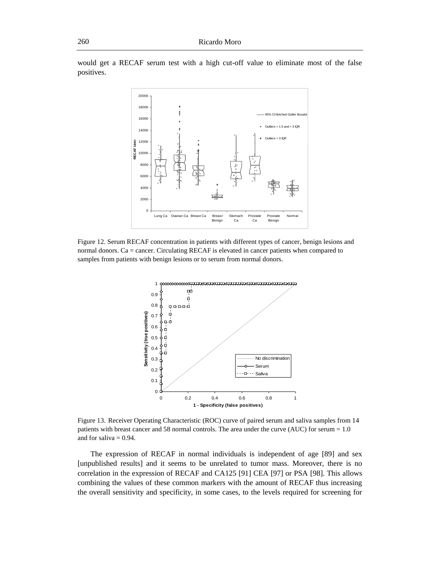would get a RECAF serum test with a high cut-off value to eliminate most of the false positives.



Figure 12. Serum RECAF concentration in patients with different types of cancer, benign lesions and normal donors. Ca = cancer. Circulating RECAF is elevated in cancer patients when compared to samples from patients with benign lesions or to serum from normal donors.



Figure 13. Receiver Operating Characteristic (ROC) curve of paired serum and saliva samples from 14 patients with breast cancer and 58 normal controls. The area under the curve (AUC) for serum = 1.0 and for saliva  $= 0.94$ .

The expression of RECAF in normal individuals is independent of age [89] and sex [unpublished results] and it seems to be unrelated to tumor mass. Moreover, there is no correlation in the expression of RECAF and CA125 [91] CEA [97] or PSA [98]. This allows combining the values of these common markers with the amount of RECAF thus increasing the overall sensitivity and specificity, in some cases, to the levels required for screening for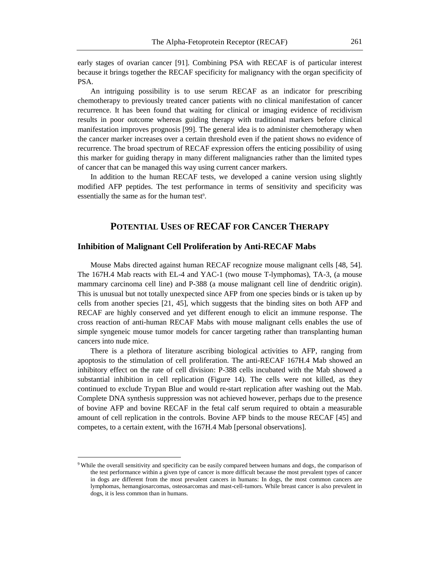early stages of ovarian cancer [91]. Combining PSA with RECAF is of particular interest because it brings together the RECAF specificity for malignancy with the organ specificity of PSA.

An intriguing possibility is to use serum RECAF as an indicator for prescribing chemotherapy to previously treated cancer patients with no clinical manifestation of cancer recurrence. It has been found that waiting for clinical or imaging evidence of recidivism results in poor outcome whereas guiding therapy with traditional markers before clinical manifestation improves prognosis [99]. The general idea is to administer chemotherapy when the cancer marker increases over a certain threshold even if the patient shows no evidence of recurrence. The broad spectrum of RECAF expression offers the enticing possibility of using this marker for guiding therapy in many different malignancies rather than the limited types of cancer that can be managed this way using current cancer markers.

In addition to the human RECAF tests, we developed a canine version using slightly modified AFP peptides. The test performance in terms of sensitivity and specificity was essentially the same as for the human test<sup>9</sup>.

# **POTENTIAL USES OF RECAF FOR CANCER THERAPY**

#### **Inhibition of Malignant Cell Proliferation by Anti-RECAF Mabs**

Mouse Mabs directed against human RECAF recognize mouse malignant cells [48, 54]. The 167H.4 Mab reacts with EL-4 and YAC-1 (two mouse T-lymphomas), TA-3, (a mouse mammary carcinoma cell line) and P-388 (a mouse malignant cell line of dendritic origin). This is unusual but not totally unexpected since AFP from one species binds or is taken up by cells from another species [21, 45], which suggests that the binding sites on both AFP and RECAF are highly conserved and yet different enough to elicit an immune response. The cross reaction of anti-human RECAF Mabs with mouse malignant cells enables the use of simple syngeneic mouse tumor models for cancer targeting rather than transplanting human cancers into nude mice.

There is a plethora of literature ascribing biological activities to AFP, ranging from apoptosis to the stimulation of cell proliferation. The anti-RECAF 167H.4 Mab showed an inhibitory effect on the rate of cell division: P-388 cells incubated with the Mab showed a substantial inhibition in cell replication (Figure 14). The cells were not killed, as they continued to exclude Trypan Blue and would re-start replication after washing out the Mab. Complete DNA synthesis suppression was not achieved however, perhaps due to the presence of bovine AFP and bovine RECAF in the fetal calf serum required to obtain a measurable amount of cell replication in the controls. Bovine AFP binds to the mouse RECAF [45] and competes, to a certain extent, with the 167H.4 Mab [personal observations].

<sup>&</sup>lt;sup>9</sup> While the overall sensitivity and specificity can be easily compared between humans and dogs, the comparison of the test performance within a given type of cancer is more difficult because the most prevalent types of cancer in dogs are different from the most prevalent cancers in humans: In dogs, the most common cancers are lymphomas, hemangiosarcomas, osteosarcomas and mast-cell-tumors. While breast cancer is also prevalent in dogs, it is less common than in humans.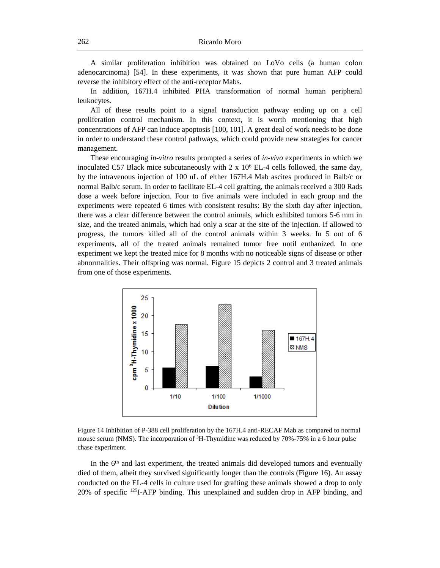A similar proliferation inhibition was obtained on LoVo cells (a human colon adenocarcinoma) [54]. In these experiments, it was shown that pure human AFP could reverse the inhibitory effect of the anti-receptor Mabs.

In addition, 167H.4 inhibited PHA transformation of normal human peripheral leukocytes.

All of these results point to a signal transduction pathway ending up on a cell proliferation control mechanism. In this context, it is worth mentioning that high concentrations of AFP can induce apoptosis [100, 101]. A great deal of work needs to be done in order to understand these control pathways, which could provide new strategies for cancer management.

These encouraging *in-vitro* results prompted a series of *in-vivo* experiments in which we inoculated C57 Black mice subcutaneously with  $2 \times 10^6$  EL-4 cells followed, the same day, by the intravenous injection of 100 uL of either 167H.4 Mab ascites produced in Balb/c or normal Balb/c serum. In order to facilitate EL-4 cell grafting, the animals received a 300 Rads dose a week before injection. Four to five animals were included in each group and the experiments were repeated 6 times with consistent results: By the sixth day after injection, there was a clear difference between the control animals, which exhibited tumors 5-6 mm in size, and the treated animals, which had only a scar at the site of the injection. If allowed to progress, the tumors killed all of the control animals within 3 weeks. In 5 out of 6 experiments, all of the treated animals remained tumor free until euthanized. In one experiment we kept the treated mice for 8 months with no noticeable signs of disease or other abnormalities. Their offspring was normal. Figure 15 depicts 2 control and 3 treated animals from one of those experiments.



Figure 14 Inhibition of P-388 cell proliferation by the 167H.4 anti-RECAF Mab as compared to normal mouse serum (NMS). The incorporation of  ${}^{3}H$ -Thymidine was reduced by 70%-75% in a 6 hour pulse chase experiment.

In the 6<sup>th</sup> and last experiment, the treated animals did developed tumors and eventually died of them, albeit they survived significantly longer than the controls (Figure 16). An assay conducted on the EL-4 cells in culture used for grafting these animals showed a drop to only 20% of specific <sup>125</sup>I-AFP binding. This unexplained and sudden drop in AFP binding, and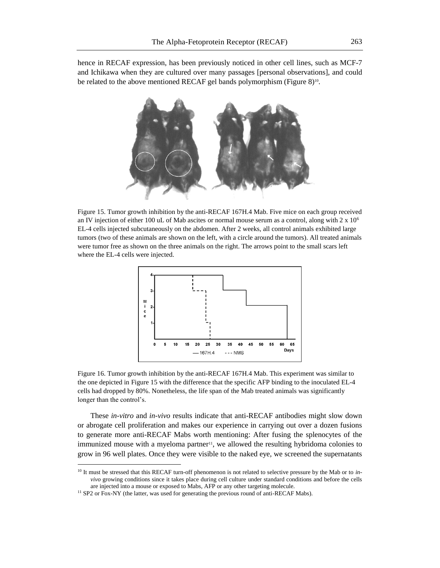hence in RECAF expression, has been previously noticed in other cell lines, such as MCF-7 and Ichikawa when they are cultured over many passages [personal observations], and could be related to the above mentioned RECAF gel bands polymorphism (Figure 8)<sup>10</sup>.



Figure 15. Tumor growth inhibition by the anti-RECAF 167H.4 Mab. Five mice on each group received an IV injection of either 100 uL of Mab ascites or normal mouse serum as a control, along with  $2 \times 10^6$ EL-4 cells injected subcutaneously on the abdomen. After 2 weeks, all control animals exhibited large tumors (two of these animals are shown on the left, with a circle around the tumors). All treated animals were tumor free as shown on the three animals on the right. The arrows point to the small scars left where the EL-4 cells were injected.



Figure 16. Tumor growth inhibition by the anti-RECAF 167H.4 Mab. This experiment was similar to the one depicted in Figure 15 with the difference that the specific AFP binding to the inoculated EL-4 cells had dropped by 80%. Nonetheless, the life span of the Mab treated animals was significantly longer than the control's.

These *in-vitro* and *in-vivo* results indicate that anti-RECAF antibodies might slow down or abrogate cell proliferation and makes our experience in carrying out over a dozen fusions to generate more anti-RECAF Mabs worth mentioning: After fusing the splenocytes of the immunized mouse with a myeloma partner<sup>11</sup>, we allowed the resulting hybridoma colonies to grow in 96 well plates. Once they were visible to the naked eye, we screened the supernatants

<sup>10</sup> It must be stressed that this RECAF turn-off phenomenon is not related to selective pressure by the Mab or to *invivo* growing conditions since it takes place during cell culture under standard conditions and before the cells are injected into a mouse or exposed to Mabs, AFP or any other targeting molecule.

<sup>&</sup>lt;sup>11</sup> SP2 or Fox-NY (the latter, was used for generating the previous round of anti-RECAF Mabs).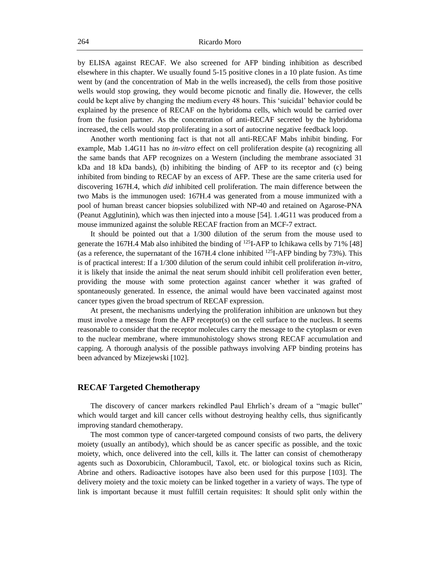by ELISA against RECAF. We also screened for AFP binding inhibition as described elsewhere in this chapter. We usually found 5-15 positive clones in a 10 plate fusion. As time went by (and the concentration of Mab in the wells increased), the cells from those positive wells would stop growing, they would become picnotic and finally die. However, the cells could be kept alive by changing the medium every 48 hours. This 'suicidal' behavior could be explained by the presence of RECAF on the hybridoma cells, which would be carried over from the fusion partner. As the concentration of anti-RECAF secreted by the hybridoma increased, the cells would stop proliferating in a sort of autocrine negative feedback loop.

Another worth mentioning fact is that not all anti-RECAF Mabs inhibit binding. For example, Mab 1.4G11 has no *in-vitro* effect on cell proliferation despite (a) recognizing all the same bands that AFP recognizes on a Western (including the membrane associated 31 kDa and 18 kDa bands), (b) inhibiting the binding of AFP to its receptor and (c) being inhibited from binding to RECAF by an excess of AFP. These are the same criteria used for discovering 167H.4, which *did* inhibited cell proliferation. The main difference between the two Mabs is the immunogen used: 167H.4 was generated from a mouse immunized with a pool of human breast cancer biopsies solubilized with NP-40 and retained on Agarose-PNA (Peanut Agglutinin), which was then injected into a mouse [54]. 1.4G11 was produced from a mouse immunized against the soluble RECAF fraction from an MCF-7 extract.

It should be pointed out that a 1/300 dilution of the serum from the mouse used to generate the 167H.4 Mab also inhibited the binding of <sup>125</sup>I-AFP to Ichikawa cells by 71% [48] (as a reference, the supernatant of the 167H.4 clone inhibited  $^{125}I$ -AFP binding by 73%). This is of practical interest: If a 1/300 dilution of the serum could inhibit cell proliferation *in-vitro*, it is likely that inside the animal the neat serum should inhibit cell proliferation even better, providing the mouse with some protection against cancer whether it was grafted of spontaneously generated. In essence, the animal would have been vaccinated against most cancer types given the broad spectrum of RECAF expression.

At present, the mechanisms underlying the proliferation inhibition are unknown but they must involve a message from the AFP receptor(s) on the cell surface to the nucleus. It seems reasonable to consider that the receptor molecules carry the message to the cytoplasm or even to the nuclear membrane, where immunohistology shows strong RECAF accumulation and capping. A thorough analysis of the possible pathways involving AFP binding proteins has been advanced by Mizejewski [102].

# **RECAF Targeted Chemotherapy**

The discovery of cancer markers rekindled Paul Ehrlich's dream of a "magic bullet" which would target and kill cancer cells without destroying healthy cells, thus significantly improving standard chemotherapy.

The most common type of cancer-targeted compound consists of two parts, the delivery moiety (usually an antibody), which should be as cancer specific as possible, and the toxic moiety, which, once delivered into the cell, kills it. The latter can consist of chemotherapy agents such as Doxorubicin, Chlorambucil, Taxol, etc. or biological toxins such as Ricin, Abrine and others. Radioactive isotopes have also been used for this purpose [103]. The delivery moiety and the toxic moiety can be linked together in a variety of ways. The type of link is important because it must fulfill certain requisites: It should split only within the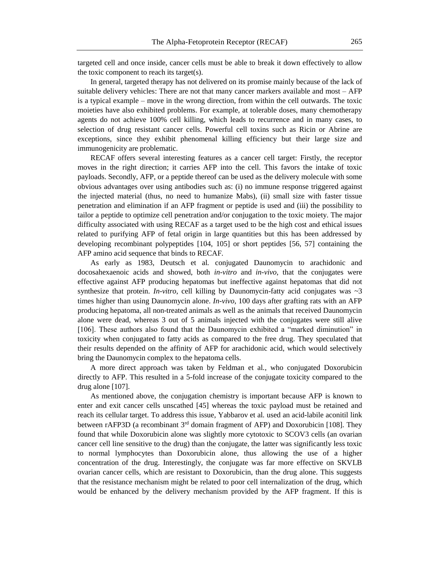targeted cell and once inside, cancer cells must be able to break it down effectively to allow the toxic component to reach its target(s).

In general, targeted therapy has not delivered on its promise mainly because of the lack of suitable delivery vehicles: There are not that many cancer markers available and most – AFP is a typical example – move in the wrong direction, from within the cell outwards. The toxic moieties have also exhibited problems. For example, at tolerable doses, many chemotherapy agents do not achieve 100% cell killing, which leads to recurrence and in many cases, to selection of drug resistant cancer cells. Powerful cell toxins such as Ricin or Abrine are exceptions, since they exhibit phenomenal killing efficiency but their large size and immunogenicity are problematic.

RECAF offers several interesting features as a cancer cell target: Firstly, the receptor moves in the right direction; it carries AFP into the cell. This favors the intake of toxic payloads. Secondly, AFP, or a peptide thereof can be used as the delivery molecule with some obvious advantages over using antibodies such as: (i) no immune response triggered against the injected material (thus, no need to humanize Mabs), (ii) small size with faster tissue penetration and elimination if an AFP fragment or peptide is used and (iii) the possibility to tailor a peptide to optimize cell penetration and/or conjugation to the toxic moiety. The major difficulty associated with using RECAF as a target used to be the high cost and ethical issues related to purifying AFP of fetal origin in large quantities but this has been addressed by developing recombinant polypeptides [104, 105] or short peptides [56, 57] containing the AFP amino acid sequence that binds to RECAF.

As early as 1983, Deutsch et al*.* conjugated Daunomycin to arachidonic and docosahexaenoic acids and showed, both *in-vitro* and *in-vivo*, that the conjugates were effective against AFP producing hepatomas but ineffective against hepatomas that did not synthesize that protein. *In-vitro*, cell killing by Daunomycin-fatty acid conjugates was  $\sim$ 3 times higher than using Daunomycin alone. *In-vivo*, 100 days after grafting rats with an AFP producing hepatoma, all non-treated animals as well as the animals that received Daunomycin alone were dead, whereas 3 out of 5 animals injected with the conjugates were still alive [106]. These authors also found that the Daunomycin exhibited a "marked diminution" in toxicity when conjugated to fatty acids as compared to the free drug. They speculated that their results depended on the affinity of AFP for arachidonic acid, which would selectively bring the Daunomycin complex to the hepatoma cells.

A more direct approach was taken by Feldman et al*.*, who conjugated Doxorubicin directly to AFP. This resulted in a 5-fold increase of the conjugate toxicity compared to the drug alone [107].

As mentioned above, the conjugation chemistry is important because AFP is known to enter and exit cancer cells unscathed [45] whereas the toxic payload must be retained and reach its cellular target. To address this issue, Yabbarov et al*.* used an acid-labile aconitil link between rAFP3D (a recombinant  $3<sup>rd</sup>$  domain fragment of AFP) and Doxorubicin [108]. They found that while Doxorubicin alone was slightly more cytotoxic to SCOV3 cells (an ovarian cancer cell line sensitive to the drug) than the conjugate, the latter was significantly less toxic to normal lymphocytes than Doxorubicin alone, thus allowing the use of a higher concentration of the drug. Interestingly, the conjugate was far more effective on SKVLB ovarian cancer cells, which are resistant to Doxorubicin, than the drug alone. This suggests that the resistance mechanism might be related to poor cell internalization of the drug, which would be enhanced by the delivery mechanism provided by the AFP fragment. If this is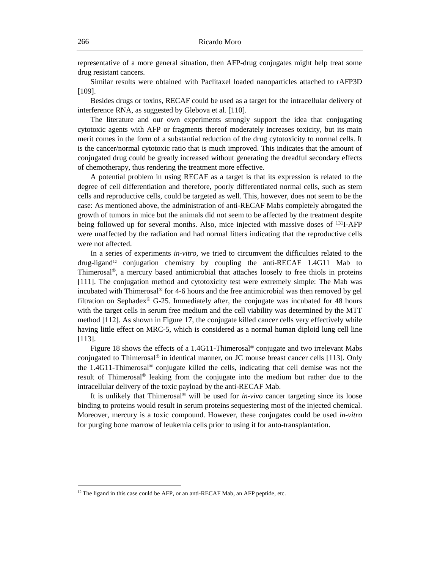representative of a more general situation, then AFP-drug conjugates might help treat some drug resistant cancers.

Similar results were obtained with Paclitaxel loaded nanoparticles attached to rAFP3D [109].

Besides drugs or toxins, RECAF could be used as a target for the intracellular delivery of interference RNA, as suggested by Glebova et al*.* [110].

The literature and our own experiments strongly support the idea that conjugating cytotoxic agents with AFP or fragments thereof moderately increases toxicity, but its main merit comes in the form of a substantial reduction of the drug cytotoxicity to normal cells. It is the cancer/normal cytotoxic ratio that is much improved. This indicates that the amount of conjugated drug could be greatly increased without generating the dreadful secondary effects of chemotherapy, thus rendering the treatment more effective.

A potential problem in using RECAF as a target is that its expression is related to the degree of cell differentiation and therefore, poorly differentiated normal cells, such as stem cells and reproductive cells, could be targeted as well. This, however, does not seem to be the case: As mentioned above, the administration of anti-RECAF Mabs completely abrogated the growth of tumors in mice but the animals did not seem to be affected by the treatment despite being followed up for several months. Also, mice injected with massive doses of <sup>131</sup>I-AFP were unaffected by the radiation and had normal litters indicating that the reproductive cells were not affected.

In a series of experiments *in-vitro*, we tried to circumvent the difficulties related to the  $d\text{rug-ligand}^{12}$  conjugation chemistry by coupling the anti-RECAF 1.4G11 Mab to Thimerosal®, a mercury based antimicrobial that attaches loosely to free thiols in proteins [111]. The conjugation method and cytotoxicity test were extremely simple: The Mab was incubated with Thimerosal® for 4-6 hours and the free antimicrobial was then removed by gel filtration on Sephadex<sup>®</sup> G-25. Immediately after, the conjugate was incubated for 48 hours with the target cells in serum free medium and the cell viability was determined by the MTT method [112]. As shown in Figure 17, the conjugate killed cancer cells very effectively while having little effect on MRC-5, which is considered as a normal human diploid lung cell line [113].

Figure 18 shows the effects of a 1.4G11-Thimerosal<sup>®</sup> conjugate and two irrelevant Mabs conjugated to Thimerosal<sup>®</sup> in identical manner, on JC mouse breast cancer cells [113]. Only the 1.4G11-Thimerosal® conjugate killed the cells, indicating that cell demise was not the result of Thimerosal® leaking from the conjugate into the medium but rather due to the intracellular delivery of the toxic payload by the anti-RECAF Mab.

It is unlikely that Thimerosal® will be used for *in-vivo* cancer targeting since its loose binding to proteins would result in serum proteins sequestering most of the injected chemical. Moreover, mercury is a toxic compound. However, these conjugates could be used *in-vitro* for purging bone marrow of leukemia cells prior to using it for auto-transplantation.

<sup>&</sup>lt;sup>12</sup> The ligand in this case could be AFP, or an anti-RECAF Mab, an AFP peptide, etc.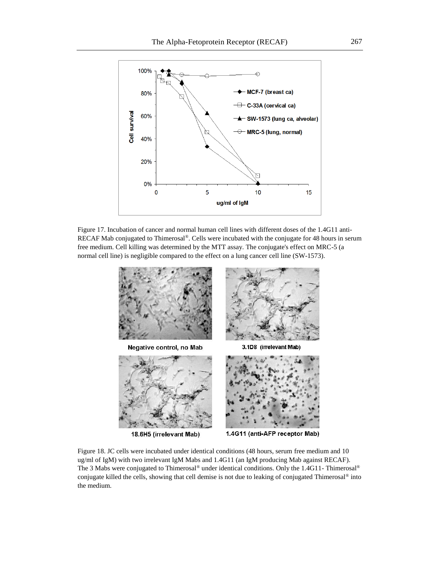

Figure 17. Incubation of cancer and normal human cell lines with different doses of the 1.4G11 anti-RECAF Mab conjugated to Thimerosal® . Cells were incubated with the conjugate for 48 hours in serum free medium. Cell killing was determined by the MTT assay. The conjugate's effect on MRC-5 (a normal cell line) is negligible compared to the effect on a lung cancer cell line (SW-1573).



Figure 18. JC cells were incubated under identical conditions (48 hours, serum free medium and 10 ug/ml of IgM) with two irrelevant IgM Mabs and 1.4G11 (an IgM producing Mab against RECAF). The 3 Mabs were conjugated to Thimerosal® under identical conditions. Only the 1.4G11- Thimerosal® conjugate killed the cells, showing that cell demise is not due to leaking of conjugated Thimerosal<sup>®</sup> into the medium.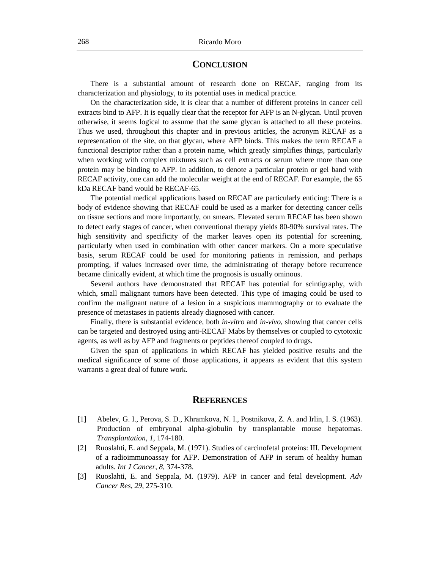## **CONCLUSION**

There is a substantial amount of research done on RECAF, ranging from its characterization and physiology, to its potential uses in medical practice.

On the characterization side, it is clear that a number of different proteins in cancer cell extracts bind to AFP. It is equally clear that the receptor for AFP is an N-glycan. Until proven otherwise, it seems logical to assume that the same glycan is attached to all these proteins. Thus we used, throughout this chapter and in previous articles, the acronym RECAF as a representation of the site, on that glycan, where AFP binds. This makes the term RECAF a functional descriptor rather than a protein name, which greatly simplifies things, particularly when working with complex mixtures such as cell extracts or serum where more than one protein may be binding to AFP. In addition, to denote a particular protein or gel band with RECAF activity, one can add the molecular weight at the end of RECAF. For example, the 65 kDa RECAF band would be RECAF-65.

The potential medical applications based on RECAF are particularly enticing: There is a body of evidence showing that RECAF could be used as a marker for detecting cancer cells on tissue sections and more importantly, on smears. Elevated serum RECAF has been shown to detect early stages of cancer, when conventional therapy yields 80-90% survival rates. The high sensitivity and specificity of the marker leaves open its potential for screening, particularly when used in combination with other cancer markers. On a more speculative basis, serum RECAF could be used for monitoring patients in remission, and perhaps prompting, if values increased over time, the administrating of therapy before recurrence became clinically evident, at which time the prognosis is usually ominous.

Several authors have demonstrated that RECAF has potential for scintigraphy, with which, small malignant tumors have been detected. This type of imaging could be used to confirm the malignant nature of a lesion in a suspicious mammography or to evaluate the presence of metastases in patients already diagnosed with cancer.

Finally, there is substantial evidence, both *in-vitro* and *in-vivo*, showing that cancer cells can be targeted and destroyed using anti-RECAF Mabs by themselves or coupled to cytotoxic agents, as well as by AFP and fragments or peptides thereof coupled to drugs.

Given the span of applications in which RECAF has yielded positive results and the medical significance of some of those applications, it appears as evident that this system warrants a great deal of future work.

## **REFERENCES**

- [1] Abelev, G. I., Perova, S. D., Khramkova, N. I., Postnikova, Z. A. and Irlin, I. S. (1963). Production of embryonal alpha-globulin by transplantable mouse hepatomas. *Transplantation*, *1*, 174-180.
- [2] Ruoslahti, E. and Seppala, M. (1971). Studies of carcinofetal proteins: III. Development of a radioimmunoassay for AFP. Demonstration of AFP in serum of healthy human adults. *Int J Cancer*, *8*, 374-378.
- [3] Ruoslahti, E. and Seppala, M. (1979). AFP in cancer and fetal development. *Adv Cancer Res*, *29*, 275-310.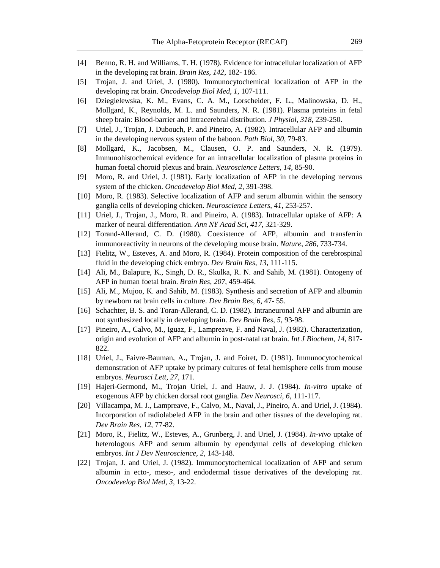- [4] Benno, R. H. and Williams, T. H. (1978). Evidence for intracellular localization of AFP in the developing rat brain. *Brain Res*, *142*, 182- 186.
- [5] Trojan, J. and Uriel, J. (1980). Immunocytochemical localization of AFP in the developing rat brain. *Oncodevelop Biol Med*, *1*, 107-111.
- [6] Dziegielewska, K. M., Evans, C. A. M., Lorscheider, F. L., Malinowska, D. H., Mollgard, K., Reynolds, M. L. and Saunders, N. R. (1981). Plasma proteins in fetal sheep brain: Blood-barrier and intracerebral distribution. *J Physiol*, *318*, 239-250.
- [7] Uriel, J., Trojan, J. Dubouch, P. and Pineiro, A. (1982). Intracellular AFP and albumin in the developing nervous system of the baboon. *Path Biol*, *30*, 79-83.
- [8] Mollgard, K., Jacobsen, M., Clausen, O. P. and Saunders, N. R. (1979). Immunohistochemical evidence for an intracellular localization of plasma proteins in human foetal choroid plexus and brain. *Neuroscience Letters*, *14*, 85-90.
- [9] Moro, R. and Uriel, J. (1981). Early localization of AFP in the developing nervous system of the chicken. *Oncodevelop Biol Med*, *2*, 391-398.
- [10] Moro, R. (1983). Selective localization of AFP and serum albumin within the sensory ganglia cells of developing chicken. *Neuroscience Letters*, *41*, 253-257.
- [11] Uriel, J., Trojan, J., Moro, R. and Pineiro, A. (1983). Intracellular uptake of AFP: A marker of neural differentiation. *Ann NY Acad Sci*, *417*, 321-329.
- [12] Torand-Allerand, C. D. (1980). Coexistence of AFP, albumin and transferrin immunoreactivity in neurons of the developing mouse brain. *Nature*, *286*, 733-734.
- [13] Fielitz, W., Esteves, A. and Moro, R. (1984). Protein composition of the cerebrospinal fluid in the developing chick embryo. *Dev Brain Res*, *13*, 111-115.
- [14] Ali, M., Balapure, K., Singh, D. R., Skulka, R. N. and Sahib, M. (1981). Ontogeny of AFP in human foetal brain. *Brain Res*, *207*, 459-464.
- [15] Ali, M., Mujoo, K. and Sahib, M. (1983). Synthesis and secretion of AFP and albumin by newborn rat brain cells in culture. *Dev Brain Res*, *6*, 47- 55.
- [16] Schachter, B. S. and Toran-Allerand, C. D. (1982). Intraneuronal AFP and albumin are not synthesized locally in developing brain. *Dev Brain Res*, *5*, 93-98.
- [17] Pineiro, A., Calvo, M., Iguaz, F., Lampreave, F. and Naval, J. (1982). Characterization, origin and evolution of AFP and albumin in post-natal rat brain. *Int J Biochem*, *14*, 817- 822.
- [18] Uriel, J., Faivre-Bauman, A., Trojan, J. and Foiret, D. (1981). Immunocytochemical demonstration of AFP uptake by primary cultures of fetal hemisphere cells from mouse embryos. *Neurosci Lett*, *27*, 171.
- [19] Hajeri-Germond, M., Trojan Uriel, J. and Hauw, J. J. (1984). *In-vitro* uptake of exogenous AFP by chicken dorsal root ganglia. *Dev Neurosci*, *6*, 111-117.
- [20] Villacampa, M. J., Lampreave, F., Calvo, M., Naval, J., Pineiro, A. and Uriel, J. (1984). Incorporation of radiolabeled AFP in the brain and other tissues of the developing rat. *Dev Brain Res*, *12*, 77-82.
- [21] Moro, R., Fielitz, W., Esteves, A., Grunberg, J. and Uriel, J. (1984). *In-vivo* uptake of heterologous AFP and serum albumin by ependymal cells of developing chicken embryos. *Int J Dev Neuroscience*, *2*, 143-148.
- [22] Trojan, J. and Uriel, J. (1982). Immunocytochemical localization of AFP and serum albumin in ecto-, meso-, and endodermal tissue derivatives of the developing rat. *Oncodevelop Biol Med*, *3*, 13-22.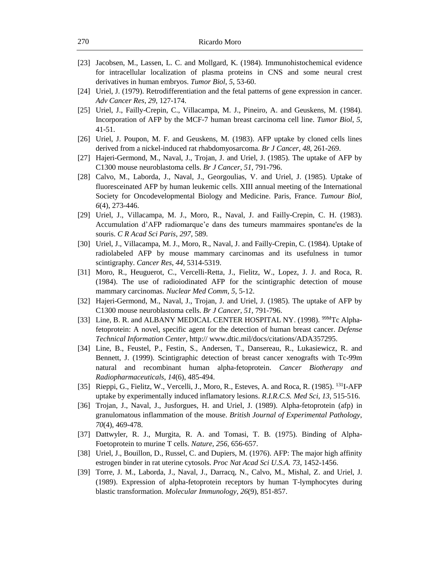- [23] Jacobsen, M., Lassen, L. C. and Mollgard, K. (1984). Immunohistochemical evidence for intracellular localization of plasma proteins in CNS and some neural crest derivatives in human embryos. *Tumor Biol*, *5*, 53-60.
- [24] Uriel, J. (1979). Retrodifferentiation and the fetal patterns of gene expression in cancer. *Adv Cancer Res*, *29*, 127-174.
- [25] Uriel, J., Failly-Crepin, C., Villacampa, M. J., Pineiro, A. and Geuskens, M. (1984). Incorporation of AFP by the MCF-7 human breast carcinoma cell line. *Tumor Biol*, *5*, 41-51.
- [26] Uriel, J. Poupon, M. F. and Geuskens, M. (1983). AFP uptake by cloned cells lines derived from a nickel-induced rat rhabdomyosarcoma. *Br J Cancer*, *48*, 261-269.
- [27] Hajeri-Germond, M., Naval, J., Trojan, J. and Uriel, J. (1985). The uptake of AFP by C1300 mouse neuroblastoma cells. *Br J Cancer*, *51*, 791-796.
- [28] Calvo, M., Laborda, J., Naval, J., Georgoulias, V. and Uriel, J. (1985). Uptake of fluoresceinated AFP by human leukemic cells. XIII annual meeting of the International Society for Oncodevelopmental Biology and Medicine. Paris, France. *Tumour Biol*, *6*(4), 273-446.
- [29] Uriel, J., Villacampa, M. J., Moro, R., Naval, J. and Failly-Crepin, C. H. (1983). Accumulation d'AFP radiomarque'e dans des tumeurs mammaires spontane'es de la souris. *C R Acad Sci Paris*, *297*, 589.
- [30] Uriel, J., Villacampa, M. J., Moro, R., Naval, J. and Failly-Crepin, C. (1984). Uptake of radiolabeled AFP by mouse mammary carcinomas and its usefulness in tumor scintigraphy. *Cancer Res*, *44*, 5314-5319.
- [31] Moro, R., Heuguerot, C., Vercelli-Retta, J., Fielitz, W., Lopez, J. J. and Roca, R. (1984). The use of radioiodinated AFP for the scintigraphic detection of mouse mammary carcinomas. *Nuclear Med Comm*, *5*, 5-12.
- [32] Hajeri-Germond, M., Naval, J., Trojan, J. and Uriel, J. (1985). The uptake of AFP by C1300 mouse neuroblastoma cells. *Br J Cancer*, *51*, 791-796.
- [33] Line, B. R. and ALBANY MEDICAL CENTER HOSPITAL NY. (1998). <sup>99M</sup>Tc Alphafetoprotein: A novel, specific agent for the detection of human breast cancer. *Defense Technical Information Center*, http:// www.dtic.mil/docs/citations/ADA357295.
- [34] Line, B., Feustel, P., Festin, S., Andersen, T., Dansereau, R., Lukasiewicz, R. and Bennett, J. (1999). Scintigraphic detection of breast cancer xenografts with Tc-99m natural and recombinant human alpha-fetoprotein. *Cancer Biotherapy and Radiopharmaceuticals*, *14*(6), 485-494.
- [35] Rieppi, G., Fielitz, W., Vercelli, J., Moro, R., Esteves, A. and Roca, R. (1985). <sup>131</sup>I-AFP uptake by experimentally induced inflamatory lesions. *R.I.R.C.S. Med Sci*, *13*, 515-516.
- [36] Trojan, J., Naval, J., Jusforgues, H. and Uriel, J. (1989). Alpha-fetoprotein (afp) in granulomatous inflammation of the mouse. *British Journal of Experimental Pathology*, *70*(4), 469-478.
- [37] Dattwyler, R. J., Murgita, R. A. and Tomasi, T. B. (1975). Binding of Alpha-Foetoprotein to murine T cells. *Nature*, *256*, 656-657.
- [38] Uriel, J., Bouillon, D., Russel, C. and Dupiers, M. (1976). AFP: The major high affinity estrogen binder in rat uterine cytosols. *Proc Nat Acad Sci U.S.A. 73*, 1452-1456.
- [39] Torre, J. M., Laborda, J., Naval, J., Darracq, N., Calvo, M., Mishal, Z. and Uriel, J. (1989). Expression of alpha-fetoprotein receptors by human T-lymphocytes during blastic transformation. *Molecular Immunology*, *26*(9), 851-857.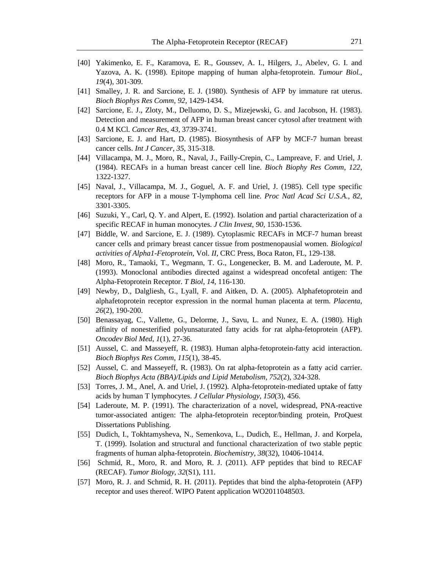- [40] Yakimenko, E. F., Karamova, E. R., Goussev, A. I., Hilgers, J., Abelev, G. I. and Yazova, A. K. (1998). Epitope mapping of human alpha-fetoprotein. *Tumour Biol.*, *19*(4), 301-309.
- [41] Smalley, J. R. and Sarcione, E. J. (1980). Synthesis of AFP by immature rat uterus. *Bioch Biophys Res Comm*, *92*, 1429-1434.
- [42] Sarcione, E. J., Zloty, M., Delluomo, D. S., Mizejewski, G. and Jacobson, H. (1983). Detection and measurement of AFP in human breast cancer cytosol after treatment with 0.4 M KCl. *Cancer Res*, *43*, 3739-3741.
- [43] Sarcione, E. J. and Hart, D. (1985). Biosynthesis of AFP by MCF-7 human breast cancer cells. *Int J Cancer*, *35*, 315-318.
- [44] Villacampa, M. J., Moro, R., Naval, J., Failly-Crepin, C., Lampreave, F. and Uriel, J. (1984). RECAFs in a human breast cancer cell line. *Bioch Biophy Res Comm*, *122*, 1322-1327.
- [45] Naval, J., Villacampa, M. J., Goguel, A. F. and Uriel, J. (1985). Cell type specific receptors for AFP in a mouse T-lymphoma cell line. *Proc Natl Acad Sci U.S.A.*, *82*, 3301-3305.
- [46] Suzuki, Y., Carl, Q. Y. and Alpert, E. (1992). Isolation and partial characterization of a specific RECAF in human monocytes. *J Clin Invest*, *90*, 1530-1536.
- [47] Biddle, W. and Sarcione, E. J. (1989). Cytoplasmic RECAFs in MCF-7 human breast cancer cells and primary breast cancer tissue from postmenopausial women. *Biological activities of Alpha1-Fetoprotein*, Vol. *II*, CRC Press, Boca Raton, FL, 129-138.
- [48] Moro, R., Tamaoki, T., Wegmann, T. G., Longenecker, B. M. and Laderoute, M. P. (1993). Monoclonal antibodies directed against a widespread oncofetal antigen: The Alpha-Fetoprotein Receptor. *T Biol*, *14*, 116-130.
- [49] Newby, D., Dalgliesh, G., Lyall, F. and Aitken, D. A. (2005). Alphafetoprotein and alphafetoprotein receptor expression in the normal human placenta at term. *Placenta*, *26*(2), 190-200.
- [50] Benassayag, C., Vallette, G., Delorme, J., Savu, L. and Nunez, E. A. (1980). High affinity of nonesterified polyunsaturated fatty acids for rat alpha-fetoprotein (AFP). *Oncodev Biol Med*, *1*(1), 27-36.
- [51] Aussel, C. and Masseyeff, R. (1983). Human alpha-fetoprotein-fatty acid interaction. *Bioch Biophys Res Comm*, *115*(1), 38-45.
- [52] Aussel, C. and Masseyeff, R. (1983). On rat alpha-fetoprotein as a fatty acid carrier. *Bioch Biophys Acta (BBA)/Lipids and Lipid Metabolism*, *752*(2), 324-328.
- [53] Torres, J. M., Anel, A. and Uriel, J. (1992). Alpha-fetoprotein-mediated uptake of fatty acids by human T lymphocytes. *J Cellular Physiology*, *150*(3), 456.
- [54] Laderoute, M. P. (1991). The characterization of a novel, widespread, PNA-reactive tumor-associated antigen: The alpha-fetoprotein receptor/binding protein, ProQuest Dissertations Publishing*.*
- [55] Dudich, I., Tokhtamysheva, N., Semenkova, L., Dudich, E., Hellman, J. and Korpela, T. (1999). Isolation and structural and functional characterization of two stable peptic fragments of human alpha-fetoprotein. *Biochemistry*, *38*(32), 10406-10414.
- [56] Schmid, R., Moro, R. and Moro, R. J. (2011). AFP peptides that bind to RECAF (RECAF). *Tumor Biology*, *32*(S1), 111.
- [57] Moro, R. J. and Schmid, R. H. (2011). Peptides that bind the alpha-fetoprotein (AFP) receptor and uses thereof. WIPO Patent application WO2011048503.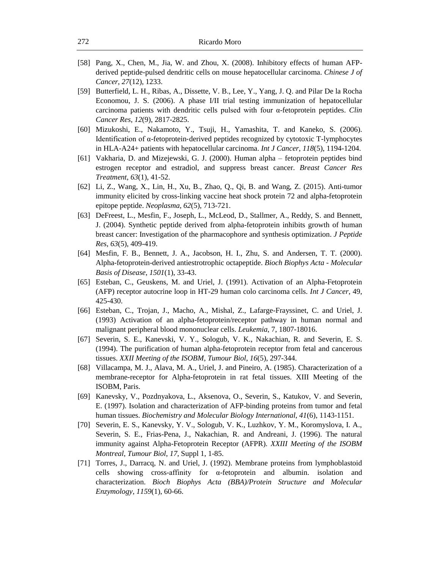- [58] Pang, X., Chen, M., Jia, W. and Zhou, X. (2008). Inhibitory effects of human AFPderived peptide-pulsed dendritic cells on mouse hepatocellular carcinoma. *Chinese J of Cancer*, *27*(12), 1233.
- [59] Butterfield, L. H., Ribas, A., Dissette, V. B., Lee, Y., Yang, J. Q. and Pilar De la Rocha Economou, J. S. (2006). A phase I/II trial testing immunization of hepatocellular carcinoma patients with dendritic cells pulsed with four α-fetoprotein peptides. *Clin Cancer Res*, *12*(9), 2817-2825.
- [60] Mizukoshi, E., Nakamoto, Y., Tsuji, H., Yamashita, T. and Kaneko, S. (2006). Identification of α-fetoprotein‐derived peptides recognized by cytotoxic T-lymphocytes in HLA-A24+ patients with hepatocellular carcinoma. *Int J Cancer*, *118*(5), 1194-1204.
- [61] Vakharia, D. and Mizejewski, G. J. (2000). Human alpha fetoprotein peptides bind estrogen receptor and estradiol, and suppress breast cancer. *Breast Cancer Res Treatment*, *63*(1), 41-52.
- [62] Li, Z., Wang, X., Lin, H., Xu, B., Zhao, Q., Qi, B. and Wang, Z. (2015). Anti-tumor immunity elicited by cross-linking vaccine heat shock protein 72 and alpha-fetoprotein epitope peptide. *Neoplasma*, *62*(5), 713-721.
- [63] DeFreest, L., Mesfin, F., Joseph, L., McLeod, D., Stallmer, A., Reddy, S. and Bennett, J. (2004). Synthetic peptide derived from alpha-fetoprotein inhibits growth of human breast cancer: Investigation of the pharmacophore and synthesis optimization. *J Peptide Res*, *63*(5), 409-419.
- [64] Mesfin, F. B., Bennett, J. A., Jacobson, H. I., Zhu, S. and Andersen, T. T. (2000). Alpha-fetoprotein-derived antiestrotrophic octapeptide. *Bioch Biophys Acta - Molecular Basis of Disease*, *1501*(1), 33-43.
- [65] Esteban, C., Geuskens, M. and Uriel, J. (1991). Activation of an Alpha-Fetoprotein (AFP) receptor autocrine loop in HT-29 human colo carcinoma cells. *Int J Cancer*, 49, 425-430.
- [66] Esteban, C., Trojan, J., Macho, A., Mishal, Z., Lafarge-Frayssinet, C. and Uriel, J. (1993) Activation of an alpha-fetoprotein/receptor pathway in human normal and malignant peripheral blood mononuclear cells. *Leukemia*, 7, 1807-18016.
- [67] Severin, S. E., Kanevski, V. Y., Sologub, V. K., Nakachian, R. and Severin, E. S. (1994). The purification of human alpha-fetoprotein receptor from fetal and cancerous tissues. *XXII Meeting of the ISOBM*, *Tumour Biol*, *16*(5), 297-344.
- [68] Villacampa, M. J., Alava, M. A., Uriel, J. and Pineiro, A. (1985). Characterization of a membrane-receptor for Alpha-fetoprotein in rat fetal tissues. XIII Meeting of the ISOBM, Paris.
- [69] Kanevsky, V., Pozdnyakova, L., Aksenova, O., Severin, S., Katukov, V. and Severin, E. (1997). Isolation and characterization of AFP-binding proteins from tumor and fetal human tissues. *Biochemistry and Molecular Biology International*, *41*(6), 1143-1151.
- [70] Severin, E. S., Kanevsky, Y. V., Sologub, V. K., Luzhkov, Y. M., Koromyslova, I. A., Severin, S. E., Frias-Pena, J., Nakachian, R. and Andreani, J. (1996). The natural immunity against Alpha-Fetoprotein Receptor (AFPR). *XXIII Meeting of the ISOBM Montreal*, *Tumour Biol*, *17*, Suppl 1, 1-85.
- [71] Torres, J., Darracq, N. and Uriel, J. (1992). Membrane proteins from lymphoblastoid cells showing cross-affinity for  $\alpha$ -fetoprotein and albumin. isolation and characterization. *Bioch Biophys Acta (BBA)/Protein Structure and Molecular Enzymology*, *1159*(1), 60-66.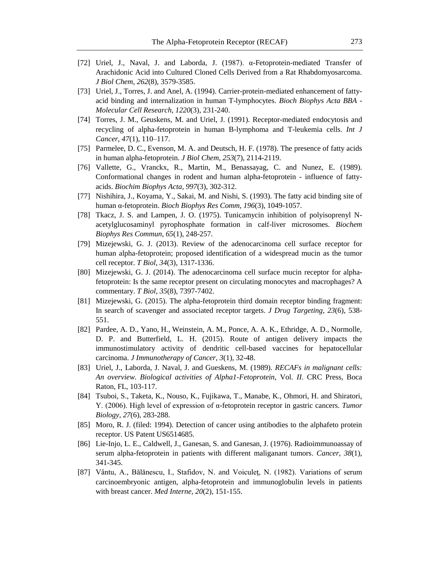- [72] Uriel, J., Naval, J. and Laborda, J. (1987). α-Fetoprotein-mediated Transfer of Arachidonic Acid into Cultured Cloned Cells Derived from a Rat Rhabdomyosarcoma. *J Biol Chem*, *262*(8), 3579-3585.
- [73] Uriel, J., Torres, J. and Anel, A. (1994). Carrier-protein-mediated enhancement of fattyacid binding and internalization in human T-lymphocytes. *Bioch Biophys Acta BBA - Molecular Cell Research*, *1220*(3), 231-240.
- [74] Torres, J. M., Geuskens, M. and Uriel, J. (1991). Receptor-mediated endocytosis and recycling of alpha-fetoprotein in human B-lymphoma and T-leukemia cells. *Int J Cancer*, *47*(1), 110–117.
- [75] Parmelee, D. C., Evenson, M. A. and Deutsch, H. F. (1978). The presence of fatty acids in human alpha-fetoprotein. *J Biol Chem*, *253*(7), 2114-2119.
- [76] Vallette, G., Vranckx, R., Martin, M., Benassayag, C. and Nunez, E. (1989). Conformational changes in rodent and human alpha-fetoprotein - influence of fattyacids. *Biochim Biophys Acta*, *997*(3), 302-312.
- [77] Nishihira, J., Koyama, Y., Sakai, M. and Nishi, S. (1993). The fatty acid binding site of human α-fetoprotein. *Bioch Biophys Res Comm*, *196*(3), 1049-1057.
- [78] Tkacz, J. S. and Lampen, J. O. (1975). Tunicamycin inhibition of polyisoprenyl Nacetylglucosaminyl pyrophosphate formation in calf-liver microsomes. *Biochem Biophys Res Commun*, *65*(1), 248-257.
- [79] Mizejewski, G. J. (2013). Review of the adenocarcinoma cell surface receptor for human alpha-fetoprotein; proposed identification of a widespread mucin as the tumor cell receptor. *T Biol*, *34*(3), 1317-1336.
- [80] Mizejewski, G. J. (2014). The adenocarcinoma cell surface mucin receptor for alphafetoprotein: Is the same receptor present on circulating monocytes and macrophages? A commentary. *T Biol*, *35*(8), 7397-7402.
- [81] Mizejewski, G. (2015). The alpha-fetoprotein third domain receptor binding fragment: In search of scavenger and associated receptor targets. *J Drug Targeting*, *23*(6), 538- 551.
- [82] Pardee, A. D., Yano, H., Weinstein, A. M., Ponce, A. A. K., Ethridge, A. D., Normolle, D. P. and Butterfield, L. H. (2015). Route of antigen delivery impacts the immunostimulatory activity of dendritic cell-based vaccines for hepatocellular carcinoma. *J Immunotherapy of Cancer*, *3*(1), 32-48.
- [83] Uriel, J., Laborda, J. Naval, J. and Gueskens, M. (1989). *RECAFs in malignant cells: An overview. Biological activities of Alpha1-Fetoprotein*, Vol. *II*. CRC Press, Boca Raton, FL, 103-117.
- [84] Tsuboi, S., Taketa, K., Nouso, K., Fujikawa, T., Manabe, K., Ohmori, H. and Shiratori, Y. (2006). High level of expression of α-fetoprotein receptor in gastric cancers. *Tumor Biology*, *27*(6), 283-288.
- [85] Moro, R. J. (filed: 1994). Detection of cancer using antibodies to the alphafeto protein receptor. US Patent US6514685*.*
- [86] Lie-Injo, L. E., Caldwell, J., Ganesan, S. and Ganesan, J. (1976). Radioimmunoassay of serum alpha-fetoprotein in patients with different maliganant tumors. *Cancer*, *38*(1), 341-345.
- [87] Vântu, A., Bălănescu, I., Stafidov, N. and Voiculeţ, N. (1982). Variations of serum carcinoembryonic antigen, alpha-fetoprotein and immunoglobulin levels in patients with breast cancer. *Med Interne*, *20*(2), 151-155.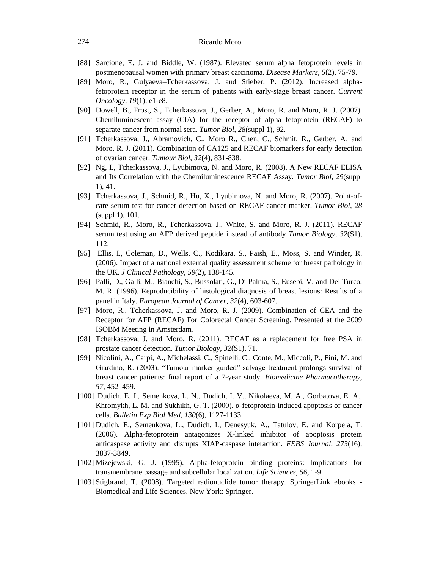- [88] Sarcione, E. J. and Biddle, W. (1987). Elevated serum alpha fetoprotein levels in postmenopausal women with primary breast carcinoma. *Disease Markers*, *5*(2), 75-79.
- [89] Moro, R., Gulyaeva–Tcherkassova, J. and Stieber, P. (2012). Increased alphafetoprotein receptor in the serum of patients with early-stage breast cancer. *Current Oncology*, *19*(1), e1-e8.
- [90] Dowell, B., Frost, S., Tcherkassova, J., Gerber, A., Moro, R. and Moro, R. J. (2007). Chemiluminescent assay (CIA) for the receptor of alpha fetoprotein (RECAF) to separate cancer from normal sera. *Tumor Biol*, *28*(suppl 1), 92.
- [91] Tcherkassova, J., Abramovich, C., Moro R., Chen, C., Schmit, R., Gerber, A. and Moro, R. J. (2011). Combination of CA125 and RECAF biomarkers for early detection of ovarian cancer. *Tumour Biol*, *32*(4), 831-838.
- [92] Ng, I., Tcherkassova, J., Lyubimova, N. and Moro, R. (2008). A New RECAF ELISA and Its Correlation with the Chemiluminescence RECAF Assay. *Tumor Biol*, *29*(suppl 1), 41.
- [93] Tcherkassova, J., Schmid, R., Hu, X., Lyubimova, N. and Moro, R. (2007). Point-ofcare serum test for cancer detection based on RECAF cancer marker. *Tumor Biol*, *28*  (suppl 1), 101.
- [94] Schmid, R., Moro, R., Tcherkassova, J., White, S. and Moro, R. J. (2011). RECAF serum test using an AFP derived peptide instead of antibody *Tumor Biology*, *32*(S1), 112.
- [95] Ellis, I., Coleman, D., Wells, C., Kodikara, S., Paish, E., Moss, S. and Winder, R. (2006). Impact of a national external quality assessment scheme for breast pathology in the UK. *J Clinical Pathology*, *59*(2), 138-145.
- [96] Palli, D., Galli, M., Bianchi, S., Bussolati, G., Di Palma, S., Eusebi, V. and Del Turco, M. R. (1996). Reproducibility of histological diagnosis of breast lesions: Results of a panel in Italy. *European Journal of Cancer*, *32*(4), 603-607.
- [97] Moro, R., Tcherkassova, J. and Moro, R. J. (2009). Combination of CEA and the Receptor for AFP (RECAF) For Colorectal Cancer Screening. Presented at the 2009 ISOBM Meeting in Amsterdam*.*
- [98] Tcherkassova, J. and Moro, R. (2011). RECAF as a replacement for free PSA in prostate cancer detection. *Tumor Biology*, *32*(S1), 71.
- [99] Nicolini, A., Carpi, A., Michelassi, C., Spinelli, C., Conte, M., Miccoli, P., Fini, M. and Giardino, R. (2003). "Tumour marker guided" salvage treatment prolongs survival of breast cancer patients: final report of a 7-year study. *Biomedicine Pharmacotherapy*, *57*, 452–459.
- [100] Dudich, E. I., Semenkova, L. N., Dudich, I. V., Nikolaeva, M. A., Gorbatova, E. A., Khromykh, L. M. and Sukhikh, G. T. (2000). α-fetoprotein-induced apoptosis of cancer cells. *Bulletin Exp Biol Med*, *130*(6), 1127-1133.
- [101] Dudich, E., Semenkova, L., Dudich, I., Denesyuk, A., Tatulov, E. and Korpela, T. (2006). Alpha-fetoprotein antagonizes X-linked inhibitor of apoptosis protein anticaspase activity and disrupts XIAP-caspase interaction. *FEBS Journal*, *273*(16), 3837-3849.
- [102] Mizejewski, G. J. (1995). Alpha-fetoprotein binding proteins: Implications for transmembrane passage and subcellular localization. *Life Sciences*, *56*, 1-9.
- [103] Stigbrand, T. (2008). Targeted radionuclide tumor therapy. SpringerLink ebooks Biomedical and Life Sciences, New York: Springer.